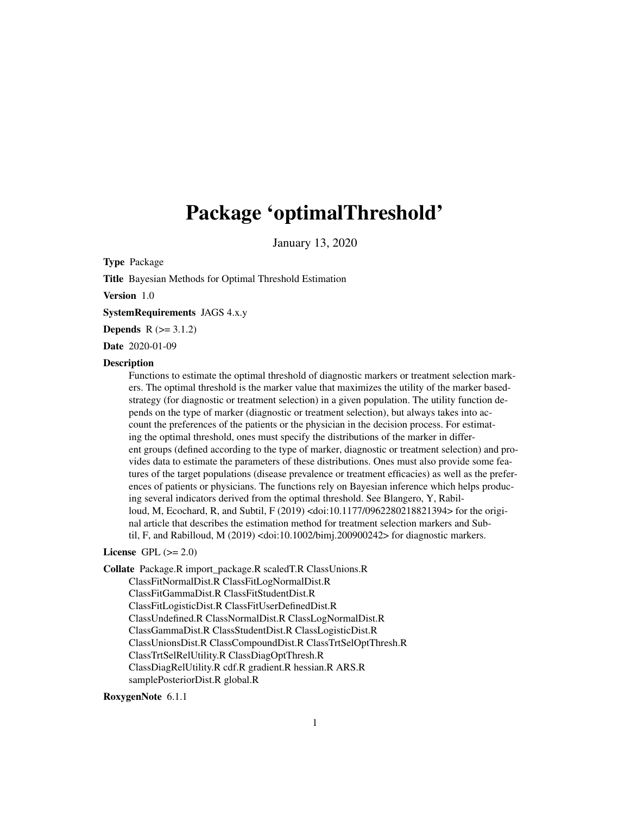## <span id="page-0-0"></span>Package 'optimalThreshold'

January 13, 2020

Type Package

Title Bayesian Methods for Optimal Threshold Estimation

Version 1.0

SystemRequirements JAGS 4.x.y

**Depends**  $R (= 3.1.2)$ 

Date 2020-01-09

## **Description**

Functions to estimate the optimal threshold of diagnostic markers or treatment selection markers. The optimal threshold is the marker value that maximizes the utility of the marker basedstrategy (for diagnostic or treatment selection) in a given population. The utility function depends on the type of marker (diagnostic or treatment selection), but always takes into account the preferences of the patients or the physician in the decision process. For estimating the optimal threshold, ones must specify the distributions of the marker in different groups (defined according to the type of marker, diagnostic or treatment selection) and provides data to estimate the parameters of these distributions. Ones must also provide some features of the target populations (disease prevalence or treatment efficacies) as well as the preferences of patients or physicians. The functions rely on Bayesian inference which helps producing several indicators derived from the optimal threshold. See Blangero, Y, Rabilloud, M, Ecochard, R, and Subtil, F (2019) <doi:10.1177/0962280218821394> for the original article that describes the estimation method for treatment selection markers and Subtil, F, and Rabilloud, M (2019) <doi:10.1002/bimj.200900242> for diagnostic markers.

#### License GPL  $(>= 2.0)$

Collate Package.R import\_package.R scaledT.R ClassUnions.R ClassFitNormalDist.R ClassFitLogNormalDist.R ClassFitGammaDist.R ClassFitStudentDist.R ClassFitLogisticDist.R ClassFitUserDefinedDist.R ClassUndefined.R ClassNormalDist.R ClassLogNormalDist.R ClassGammaDist.R ClassStudentDist.R ClassLogisticDist.R ClassUnionsDist.R ClassCompoundDist.R ClassTrtSelOptThresh.R ClassTrtSelRelUtility.R ClassDiagOptThresh.R ClassDiagRelUtility.R cdf.R gradient.R hessian.R ARS.R samplePosteriorDist.R global.R

### RoxygenNote 6.1.1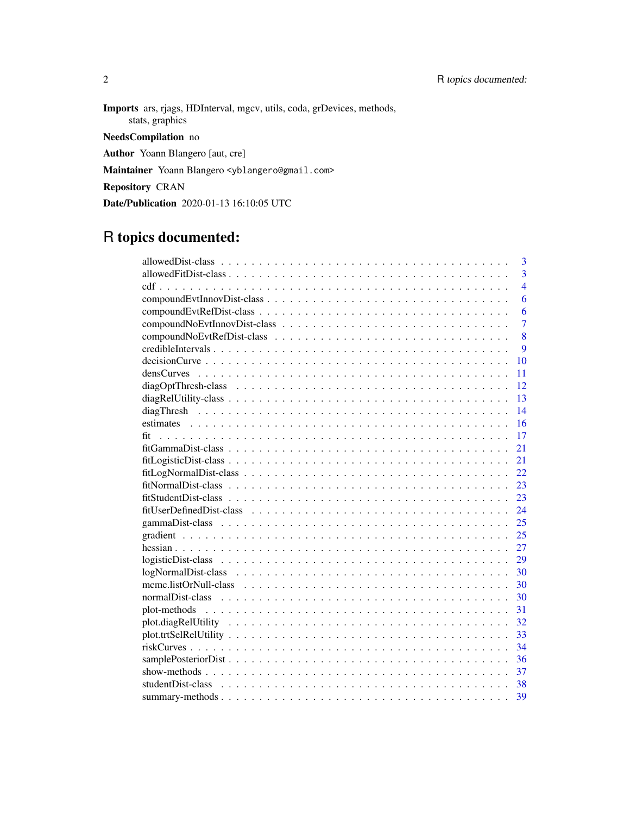Imports ars, rjags, HDInterval, mgcv, utils, coda, grDevices, methods, stats, graphics NeedsCompilation no Author Yoann Blangero [aut, cre]

Maintainer Yoann Blangero <yblangero@gmail.com>

Repository CRAN

Date/Publication 2020-01-13 16:10:05 UTC

## R topics documented:

| $\overline{3}$                                                                                                              |
|-----------------------------------------------------------------------------------------------------------------------------|
| $\overline{3}$                                                                                                              |
| $\overline{4}$                                                                                                              |
| 6                                                                                                                           |
| 6                                                                                                                           |
| $\overline{7}$                                                                                                              |
| 8                                                                                                                           |
| 9                                                                                                                           |
| $decisionCurve \dots \dots \dots \dots \dots \dots \dots \dots \dots \dots \dots \dots \dots \dots \dots \dots \dots$<br>10 |
| 11                                                                                                                          |
| 12                                                                                                                          |
| 13                                                                                                                          |
| 14                                                                                                                          |
| 16                                                                                                                          |
| 17                                                                                                                          |
| 21                                                                                                                          |
| 21                                                                                                                          |
| 22                                                                                                                          |
| 23                                                                                                                          |
| 23                                                                                                                          |
| 24                                                                                                                          |
| 25                                                                                                                          |
| 25                                                                                                                          |
| 27                                                                                                                          |
| 29                                                                                                                          |
| 30                                                                                                                          |
| 30                                                                                                                          |
| 30                                                                                                                          |
| 31<br>plot-methods                                                                                                          |
| 32                                                                                                                          |
| 33                                                                                                                          |
| 34                                                                                                                          |
| 36                                                                                                                          |
| 37                                                                                                                          |
| 38                                                                                                                          |
| 39                                                                                                                          |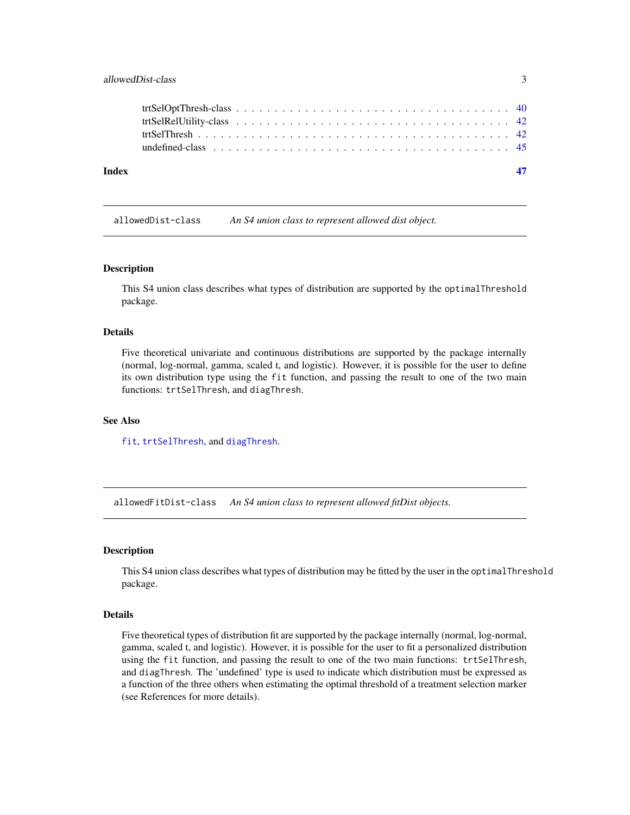<span id="page-2-0"></span>

| Index |  |  |
|-------|--|--|
|       |  |  |
|       |  |  |
|       |  |  |
|       |  |  |
|       |  |  |

allowedDist-class *An S4 union class to represent allowed dist object.*

#### Description

This S4 union class describes what types of distribution are supported by the optimalThreshold package.

## **Details**

Five theoretical univariate and continuous distributions are supported by the package internally (normal, log-normal, gamma, scaled t, and logistic). However, it is possible for the user to define its own distribution type using the fit function, and passing the result to one of the two main functions: trtSelThresh, and diagThresh.

#### See Also

[fit](#page-16-1), [trtSelThresh](#page-41-1), and [diagThresh](#page-13-1).

allowedFitDist-class *An S4 union class to represent allowed fitDist objects.*

#### Description

This S4 union class describes what types of distribution may be fitted by the user in the optimalThreshold package.

## Details

Five theoretical types of distribution fit are supported by the package internally (normal, log-normal, gamma, scaled t, and logistic). However, it is possible for the user to fit a personalized distribution using the fit function, and passing the result to one of the two main functions: trtSelThresh, and diagThresh. The 'undefined' type is used to indicate which distribution must be expressed as a function of the three others when estimating the optimal threshold of a treatment selection marker (see References for more details).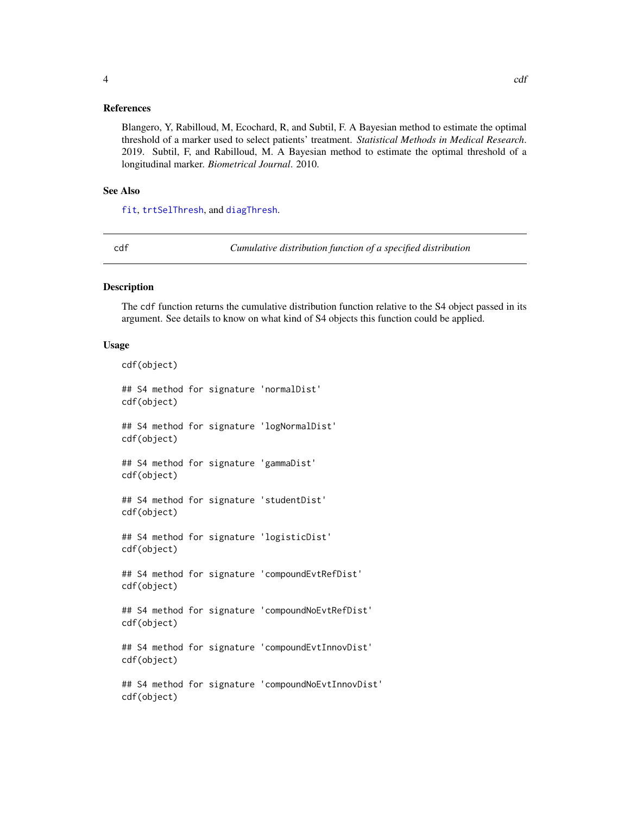## <span id="page-3-0"></span>References

Blangero, Y, Rabilloud, M, Ecochard, R, and Subtil, F. A Bayesian method to estimate the optimal threshold of a marker used to select patients' treatment. *Statistical Methods in Medical Research*. 2019. Subtil, F, and Rabilloud, M. A Bayesian method to estimate the optimal threshold of a longitudinal marker. *Biometrical Journal*. 2010.

#### See Also

[fit](#page-16-1), [trtSelThresh](#page-41-1), and [diagThresh](#page-13-1).

cdf *Cumulative distribution function of a specified distribution*

## Description

The cdf function returns the cumulative distribution function relative to the S4 object passed in its argument. See details to know on what kind of S4 objects this function could be applied.

#### Usage

```
cdf(object)
## S4 method for signature 'normalDist'
cdf(object)
## S4 method for signature 'logNormalDist'
cdf(object)
## S4 method for signature 'gammaDist'
cdf(object)
## S4 method for signature 'studentDist'
cdf(object)
## S4 method for signature 'logisticDist'
cdf(object)
## S4 method for signature 'compoundEvtRefDist'
cdf(object)
## S4 method for signature 'compoundNoEvtRefDist'
cdf(object)
## S4 method for signature 'compoundEvtInnovDist'
cdf(object)
## S4 method for signature 'compoundNoEvtInnovDist'
cdf(object)
```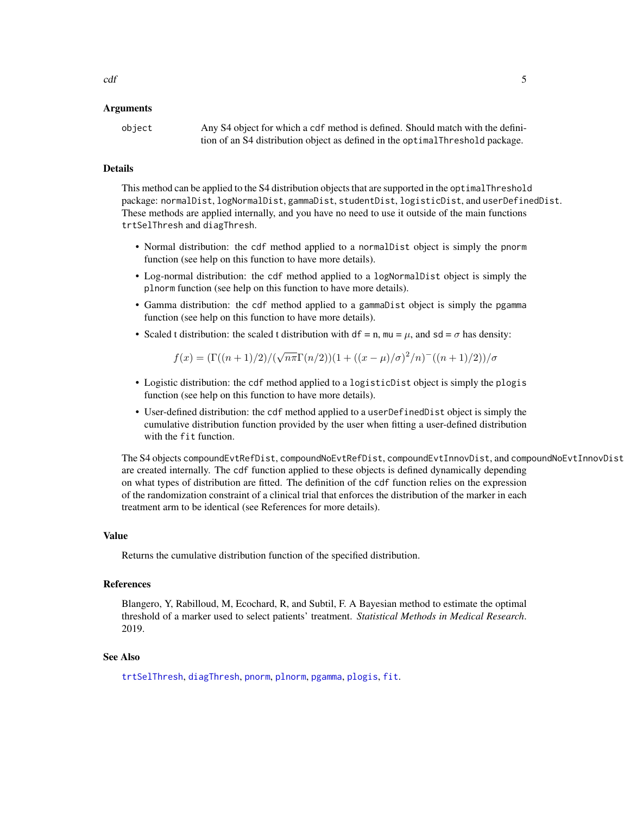#### <span id="page-4-0"></span>Arguments

object Any S4 object for which a cdf method is defined. Should match with the definition of an S4 distribution object as defined in the optimalThreshold package.

## Details

This method can be applied to the S4 distribution objects that are supported in the optimalThreshold package: normalDist, logNormalDist, gammaDist, studentDist, logisticDist, and userDefinedDist. These methods are applied internally, and you have no need to use it outside of the main functions trtSelThresh and diagThresh.

- Normal distribution: the cdf method applied to a normalDist object is simply the pnorm function (see help on this function to have more details).
- Log-normal distribution: the cdf method applied to a logNormalDist object is simply the plnorm function (see help on this function to have more details).
- Gamma distribution: the cdf method applied to a gammaDist object is simply the pgamma function (see help on this function to have more details).
- Scaled t distribution: the scaled t distribution with df = n, mu =  $\mu$ , and sd =  $\sigma$  has density:

$$
f(x) = \frac{\Gamma((n+1)/2)}{\sqrt{n\pi}\Gamma(n/2)}(1 + \frac{(x-\mu)}{\sigma})^2/n^{-\frac{(n+1)}{2}})\sigma
$$

- Logistic distribution: the cdf method applied to a logisticDist object is simply the plogis function (see help on this function to have more details).
- User-defined distribution: the cdf method applied to a userDefinedDist object is simply the cumulative distribution function provided by the user when fitting a user-defined distribution with the fit function.

The S4 objects compoundEvtRefDist, compoundNoEvtRefDist, compoundEvtInnovDist, and compoundNoEvtInnovDist are created internally. The cdf function applied to these objects is defined dynamically depending on what types of distribution are fitted. The definition of the cdf function relies on the expression of the randomization constraint of a clinical trial that enforces the distribution of the marker in each treatment arm to be identical (see References for more details).

#### Value

Returns the cumulative distribution function of the specified distribution.

#### References

Blangero, Y, Rabilloud, M, Ecochard, R, and Subtil, F. A Bayesian method to estimate the optimal threshold of a marker used to select patients' treatment. *Statistical Methods in Medical Research*. 2019.

#### See Also

[trtSelThresh](#page-41-1), [diagThresh](#page-13-1), [pnorm](#page-0-0), [plnorm](#page-0-0), [pgamma](#page-0-0), [plogis](#page-0-0), [fit](#page-16-1).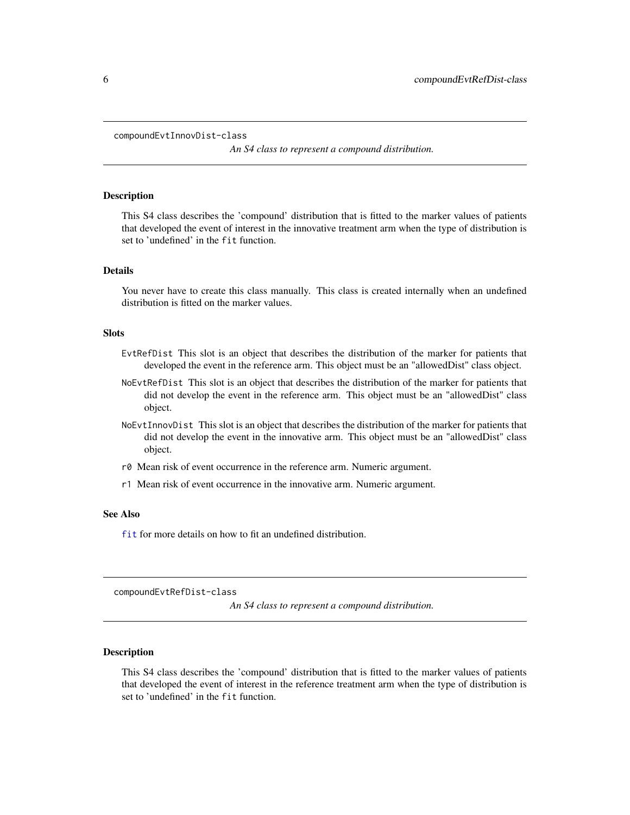```
compoundEvtInnovDist-class
```
*An S4 class to represent a compound distribution.*

#### **Description**

This S4 class describes the 'compound' distribution that is fitted to the marker values of patients that developed the event of interest in the innovative treatment arm when the type of distribution is set to 'undefined' in the fit function.

## Details

You never have to create this class manually. This class is created internally when an undefined distribution is fitted on the marker values.

## **Slots**

- EvtRefDist This slot is an object that describes the distribution of the marker for patients that developed the event in the reference arm. This object must be an "allowedDist" class object.
- NoEvtRefDist This slot is an object that describes the distribution of the marker for patients that did not develop the event in the reference arm. This object must be an "allowedDist" class object.
- NoEvtInnovDist This slot is an object that describes the distribution of the marker for patients that did not develop the event in the innovative arm. This object must be an "allowedDist" class object.
- r0 Mean risk of event occurrence in the reference arm. Numeric argument.
- r1 Mean risk of event occurrence in the innovative arm. Numeric argument.

## See Also

[fit](#page-16-1) for more details on how to fit an undefined distribution.

compoundEvtRefDist-class

*An S4 class to represent a compound distribution.*

#### **Description**

This S4 class describes the 'compound' distribution that is fitted to the marker values of patients that developed the event of interest in the reference treatment arm when the type of distribution is set to 'undefined' in the fit function.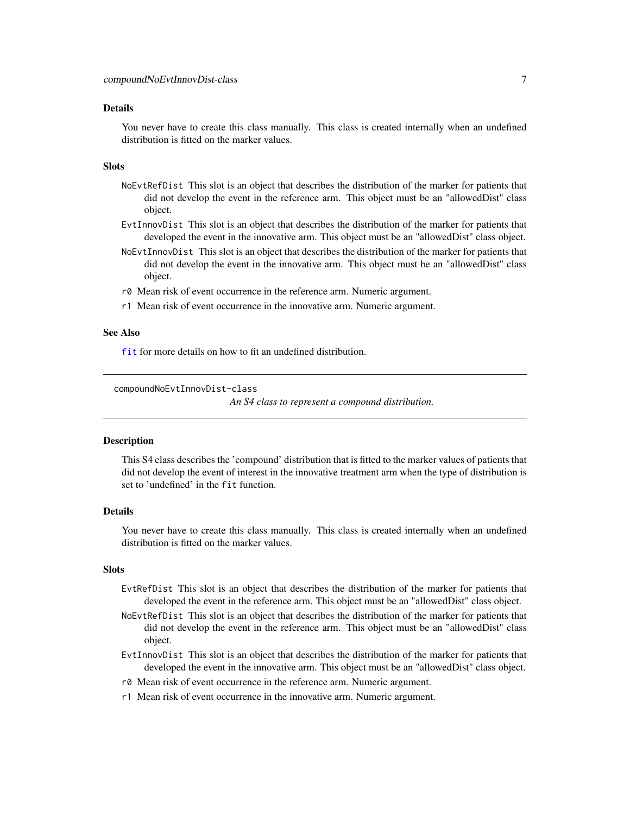#### <span id="page-6-0"></span>Details

You never have to create this class manually. This class is created internally when an undefined distribution is fitted on the marker values.

#### Slots

- NoEvtRefDist This slot is an object that describes the distribution of the marker for patients that did not develop the event in the reference arm. This object must be an "allowedDist" class object.
- EvtInnovDist This slot is an object that describes the distribution of the marker for patients that developed the event in the innovative arm. This object must be an "allowedDist" class object.
- NoEvtInnovDist This slot is an object that describes the distribution of the marker for patients that did not develop the event in the innovative arm. This object must be an "allowedDist" class object.
- r0 Mean risk of event occurrence in the reference arm. Numeric argument.
- r1 Mean risk of event occurrence in the innovative arm. Numeric argument.

#### See Also

[fit](#page-16-1) for more details on how to fit an undefined distribution.

compoundNoEvtInnovDist-class

*An S4 class to represent a compound distribution.*

#### Description

This S4 class describes the 'compound' distribution that is fitted to the marker values of patients that did not develop the event of interest in the innovative treatment arm when the type of distribution is set to 'undefined' in the fit function.

#### Details

You never have to create this class manually. This class is created internally when an undefined distribution is fitted on the marker values.

#### **Slots**

- EvtRefDist This slot is an object that describes the distribution of the marker for patients that developed the event in the reference arm. This object must be an "allowedDist" class object.
- NoEvtRefDist This slot is an object that describes the distribution of the marker for patients that did not develop the event in the reference arm. This object must be an "allowedDist" class object.
- EvtInnovDist This slot is an object that describes the distribution of the marker for patients that developed the event in the innovative arm. This object must be an "allowedDist" class object.
- r0 Mean risk of event occurrence in the reference arm. Numeric argument.
- r1 Mean risk of event occurrence in the innovative arm. Numeric argument.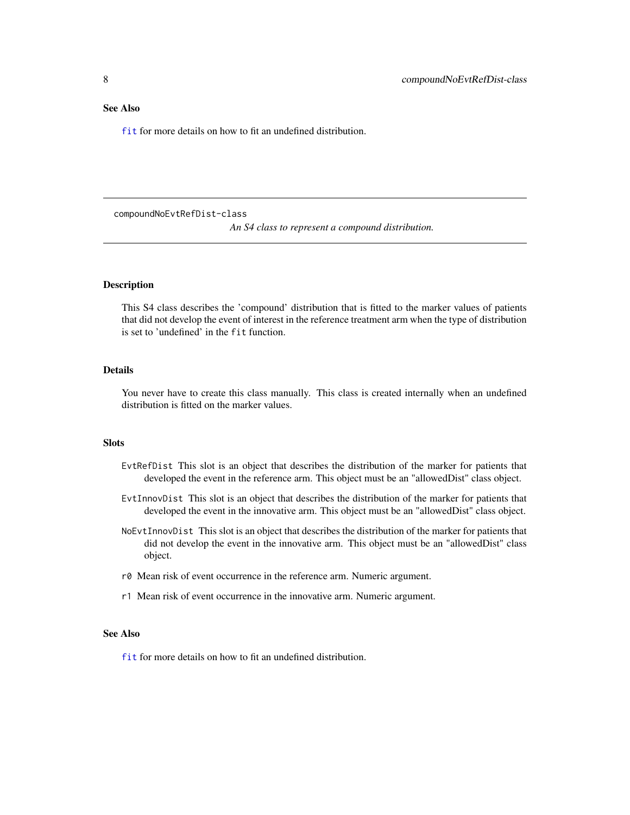## <span id="page-7-0"></span>See Also

[fit](#page-16-1) for more details on how to fit an undefined distribution.

compoundNoEvtRefDist-class

*An S4 class to represent a compound distribution.*

#### **Description**

This S4 class describes the 'compound' distribution that is fitted to the marker values of patients that did not develop the event of interest in the reference treatment arm when the type of distribution is set to 'undefined' in the fit function.

## Details

You never have to create this class manually. This class is created internally when an undefined distribution is fitted on the marker values.

### **Slots**

- EvtRefDist This slot is an object that describes the distribution of the marker for patients that developed the event in the reference arm. This object must be an "allowedDist" class object.
- EvtInnovDist This slot is an object that describes the distribution of the marker for patients that developed the event in the innovative arm. This object must be an "allowedDist" class object.
- NoEvtInnovDist This slot is an object that describes the distribution of the marker for patients that did not develop the event in the innovative arm. This object must be an "allowedDist" class object.
- r0 Mean risk of event occurrence in the reference arm. Numeric argument.
- r1 Mean risk of event occurrence in the innovative arm. Numeric argument.

## See Also

[fit](#page-16-1) for more details on how to fit an undefined distribution.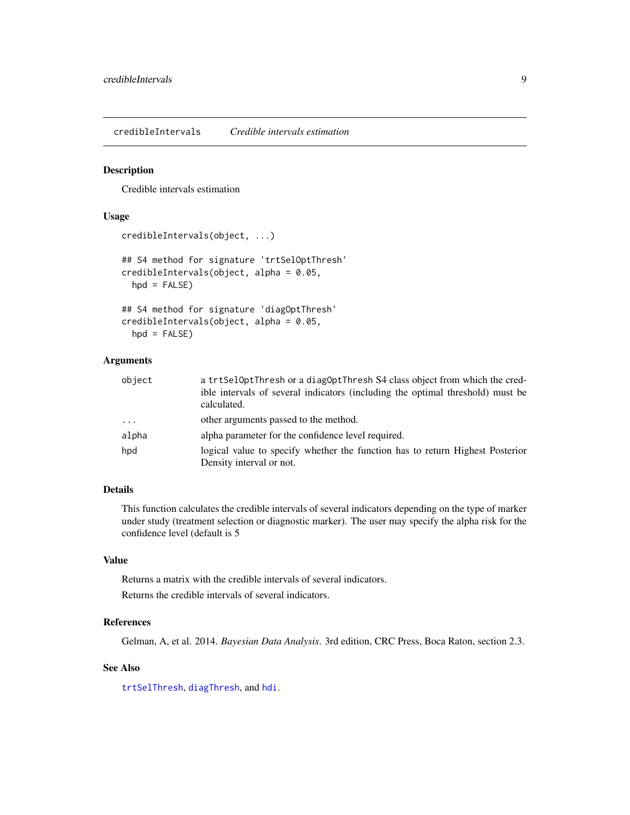<span id="page-8-0"></span>credibleIntervals *Credible intervals estimation*

## Description

Credible intervals estimation

## Usage

```
credibleIntervals(object, ...)
## S4 method for signature 'trtSelOptThresh'
credibleIntervals(object, alpha = 0.05,
 hpd = FALSE)
## S4 method for signature 'diagOptThresh'
```
credibleIntervals(object, alpha = 0.05,  $hpd = FALSE$ )

## Arguments

| object   | a trtSelOptThresh or a diagOptThresh S4 class object from which the cred-<br>ible intervals of several indicators (including the optimal threshold) must be<br>calculated. |
|----------|----------------------------------------------------------------------------------------------------------------------------------------------------------------------------|
| $\cdots$ | other arguments passed to the method.                                                                                                                                      |
| alpha    | alpha parameter for the confidence level required.                                                                                                                         |
| hpd      | logical value to specify whether the function has to return Highest Posterior                                                                                              |
|          | Density interval or not.                                                                                                                                                   |

## Details

This function calculates the credible intervals of several indicators depending on the type of marker under study (treatment selection or diagnostic marker). The user may specify the alpha risk for the confidence level (default is 5

## Value

Returns a matrix with the credible intervals of several indicators.

Returns the credible intervals of several indicators.

#### References

Gelman, A, et al. 2014. *Bayesian Data Analysis*. 3rd edition, CRC Press, Boca Raton, section 2.3.

#### See Also

[trtSelThresh](#page-41-1), [diagThresh](#page-13-1), and [hdi](#page-0-0).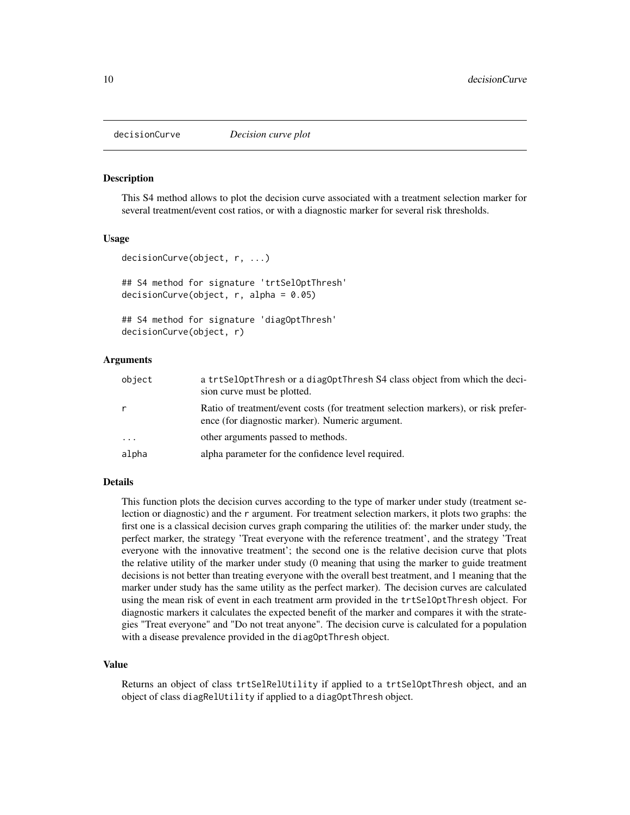<span id="page-9-1"></span><span id="page-9-0"></span>

#### Description

This S4 method allows to plot the decision curve associated with a treatment selection marker for several treatment/event cost ratios, or with a diagnostic marker for several risk thresholds.

#### Usage

```
decisionCurve(object, r, ...)
## S4 method for signature 'trtSelOptThresh'
decisionCurve(object, r, alpha = 0.05)
```

```
## S4 method for signature 'diagOptThresh'
decisionCurve(object, r)
```
#### Arguments

| object   | a trtSelOptThresh or a diagOptThresh S4 class object from which the deci-<br>sion curve must be plotted.                             |
|----------|--------------------------------------------------------------------------------------------------------------------------------------|
| r        | Ratio of treatment/event costs (for treatment selection markers), or risk prefer-<br>ence (for diagnostic marker). Numeric argument. |
| $\ddots$ | other arguments passed to methods.                                                                                                   |
| alpha    | alpha parameter for the confidence level required.                                                                                   |

## Details

This function plots the decision curves according to the type of marker under study (treatment selection or diagnostic) and the r argument. For treatment selection markers, it plots two graphs: the first one is a classical decision curves graph comparing the utilities of: the marker under study, the perfect marker, the strategy 'Treat everyone with the reference treatment', and the strategy 'Treat everyone with the innovative treatment'; the second one is the relative decision curve that plots the relative utility of the marker under study (0 meaning that using the marker to guide treatment decisions is not better than treating everyone with the overall best treatment, and 1 meaning that the marker under study has the same utility as the perfect marker). The decision curves are calculated using the mean risk of event in each treatment arm provided in the trtSelOptThresh object. For diagnostic markers it calculates the expected benefit of the marker and compares it with the strategies "Treat everyone" and "Do not treat anyone". The decision curve is calculated for a population with a disease prevalence provided in the diagOptThresh object.

#### Value

Returns an object of class trtSelRelUtility if applied to a trtSelOptThresh object, and an object of class diagRelUtility if applied to a diagOptThresh object.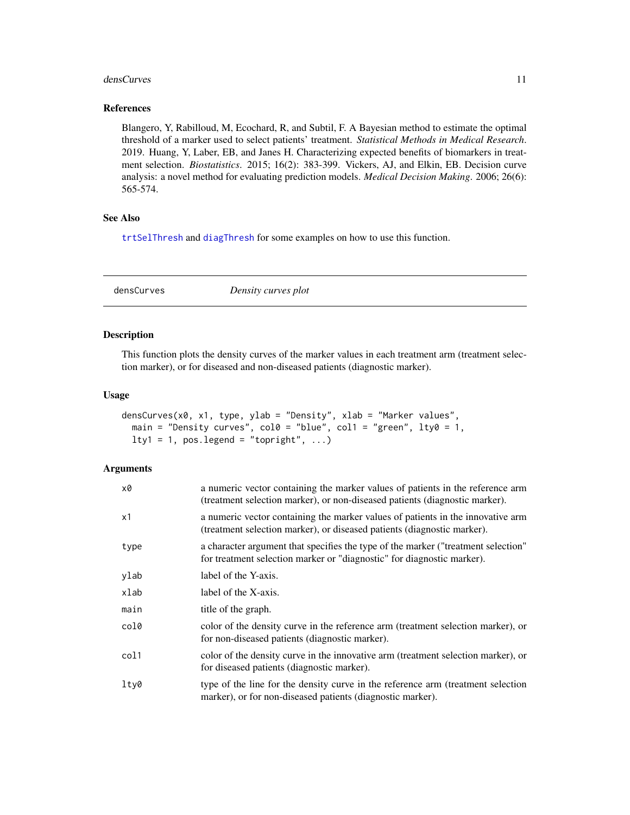#### <span id="page-10-0"></span>densCurves 11

#### References

Blangero, Y, Rabilloud, M, Ecochard, R, and Subtil, F. A Bayesian method to estimate the optimal threshold of a marker used to select patients' treatment. *Statistical Methods in Medical Research*. 2019. Huang, Y, Laber, EB, and Janes H. Characterizing expected benefits of biomarkers in treatment selection. *Biostatistics*. 2015; 16(2): 383-399. Vickers, AJ, and Elkin, EB. Decision curve analysis: a novel method for evaluating prediction models. *Medical Decision Making*. 2006; 26(6): 565-574.

## See Also

[trtSelThresh](#page-41-1) and [diagThresh](#page-13-1) for some examples on how to use this function.

densCurves *Density curves plot*

## Description

This function plots the density curves of the marker values in each treatment arm (treatment selection marker), or for diseased and non-diseased patients (diagnostic marker).

#### Usage

```
densCurves(x0, x1, type, ylab = "Density", xlab = "Marker values",
  main = "Density curves", \text{col0} = \text{"blue"}, \text{col1} = \text{"green"}, \text{lty0} = 1,
  lty1 = 1, pos. legend = "topright", ...)
```

| x0   | a numeric vector containing the marker values of patients in the reference arm<br>(treatment selection marker), or non-diseased patients (diagnostic marker). |
|------|---------------------------------------------------------------------------------------------------------------------------------------------------------------|
| x1   | a numeric vector containing the marker values of patients in the innovative arm<br>(treatment selection marker), or diseased patients (diagnostic marker).    |
| type | a character argument that specifies the type of the marker ("treatment selection"<br>for treatment selection marker or "diagnostic" for diagnostic marker).   |
| ylab | label of the Y-axis.                                                                                                                                          |
| xlab | label of the X-axis.                                                                                                                                          |
| main | title of the graph.                                                                                                                                           |
| col0 | color of the density curve in the reference arm (treatment selection marker), or<br>for non-diseased patients (diagnostic marker).                            |
| col1 | color of the density curve in the innovative arm (treatment selection marker), or<br>for diseased patients (diagnostic marker).                               |
| lty0 | type of the line for the density curve in the reference arm (treatment selection<br>marker), or for non-diseased patients (diagnostic marker).                |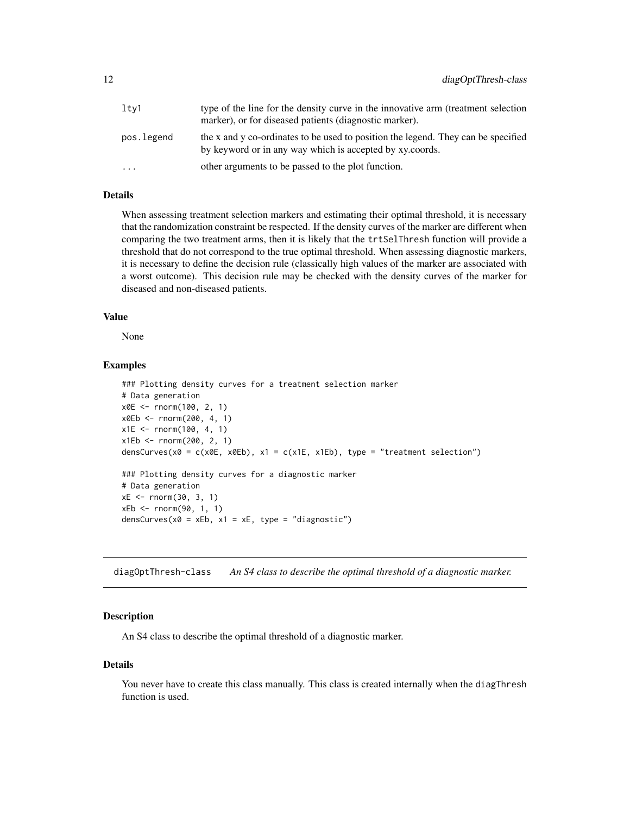<span id="page-11-0"></span>

| ltv1       | type of the line for the density curve in the innovative arm (treatment selection<br>marker), or for diseased patients (diagnostic marker).   |
|------------|-----------------------------------------------------------------------------------------------------------------------------------------------|
| pos.legend | the x and y co-ordinates to be used to position the legend. They can be specified<br>by keyword or in any way which is accepted by xy.coords. |
| .          | other arguments to be passed to the plot function.                                                                                            |

## Details

When assessing treatment selection markers and estimating their optimal threshold, it is necessary that the randomization constraint be respected. If the density curves of the marker are different when comparing the two treatment arms, then it is likely that the trtSelThresh function will provide a threshold that do not correspond to the true optimal threshold. When assessing diagnostic markers, it is necessary to define the decision rule (classically high values of the marker are associated with a worst outcome). This decision rule may be checked with the density curves of the marker for diseased and non-diseased patients.

#### Value

None

#### Examples

```
### Plotting density curves for a treatment selection marker
# Data generation
x0E <- rnorm(100, 2, 1)
x0Eb <- rnorm(200, 4, 1)
x1E <- rnorm(100, 4, 1)
x1Eb <- rnorm(200, 2, 1)
densCurves(x0 = c(x0E, x0Eb), x1 = c(x1E, x1Eb), type = "treatment selection")
### Plotting density curves for a diagnostic marker
# Data generation
xE < - rnorm(30, 3, 1)
xEb <- rnorm(90, 1, 1)
densCurves(x0 = xEb, x1 = xE, type = "diagnostic")
```
diagOptThresh-class *An S4 class to describe the optimal threshold of a diagnostic marker.*

#### Description

An S4 class to describe the optimal threshold of a diagnostic marker.

#### Details

You never have to create this class manually. This class is created internally when the diagThresh function is used.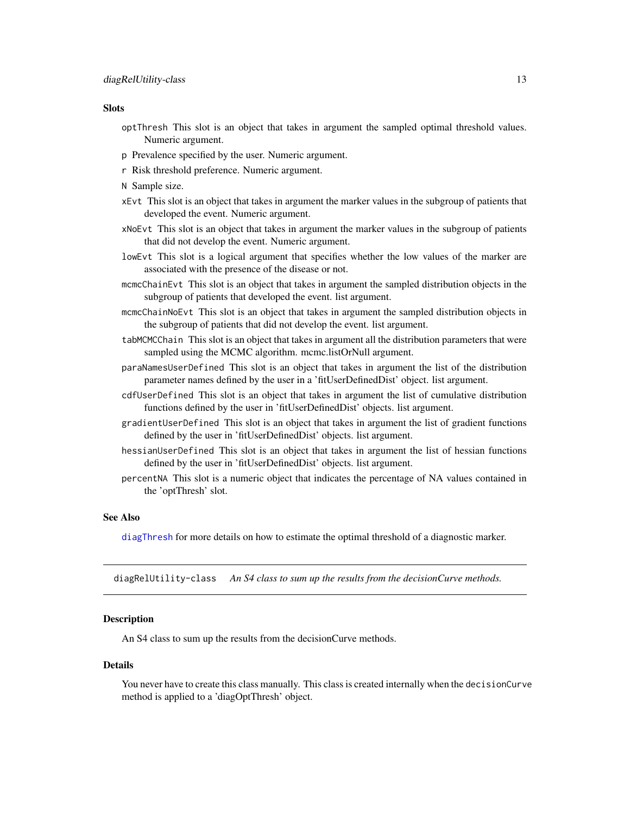#### <span id="page-12-0"></span>**Slots**

- optThresh This slot is an object that takes in argument the sampled optimal threshold values. Numeric argument.
- p Prevalence specified by the user. Numeric argument.
- r Risk threshold preference. Numeric argument.
- N Sample size.
- xEvt This slot is an object that takes in argument the marker values in the subgroup of patients that developed the event. Numeric argument.
- xNoEvt This slot is an object that takes in argument the marker values in the subgroup of patients that did not develop the event. Numeric argument.
- lowEvt This slot is a logical argument that specifies whether the low values of the marker are associated with the presence of the disease or not.
- mcmcChainEvt This slot is an object that takes in argument the sampled distribution objects in the subgroup of patients that developed the event. list argument.
- mcmcChainNoEvt This slot is an object that takes in argument the sampled distribution objects in the subgroup of patients that did not develop the event. list argument.
- tabMCMCChain This slot is an object that takes in argument all the distribution parameters that were sampled using the MCMC algorithm. mcmc.listOrNull argument.
- paraNamesUserDefined This slot is an object that takes in argument the list of the distribution parameter names defined by the user in a 'fitUserDefinedDist' object. list argument.
- cdfUserDefined This slot is an object that takes in argument the list of cumulative distribution functions defined by the user in 'fitUserDefinedDist' objects. list argument.
- gradientUserDefined This slot is an object that takes in argument the list of gradient functions defined by the user in 'fitUserDefinedDist' objects. list argument.
- hessianUserDefined This slot is an object that takes in argument the list of hessian functions defined by the user in 'fitUserDefinedDist' objects. list argument.
- percentNA This slot is a numeric object that indicates the percentage of NA values contained in the 'optThresh' slot.

#### See Also

[diagThresh](#page-13-1) for more details on how to estimate the optimal threshold of a diagnostic marker.

diagRelUtility-class *An S4 class to sum up the results from the decisionCurve methods.*

#### Description

An S4 class to sum up the results from the decisionCurve methods.

#### Details

You never have to create this class manually. This class is created internally when the decisionCurve method is applied to a 'diagOptThresh' object.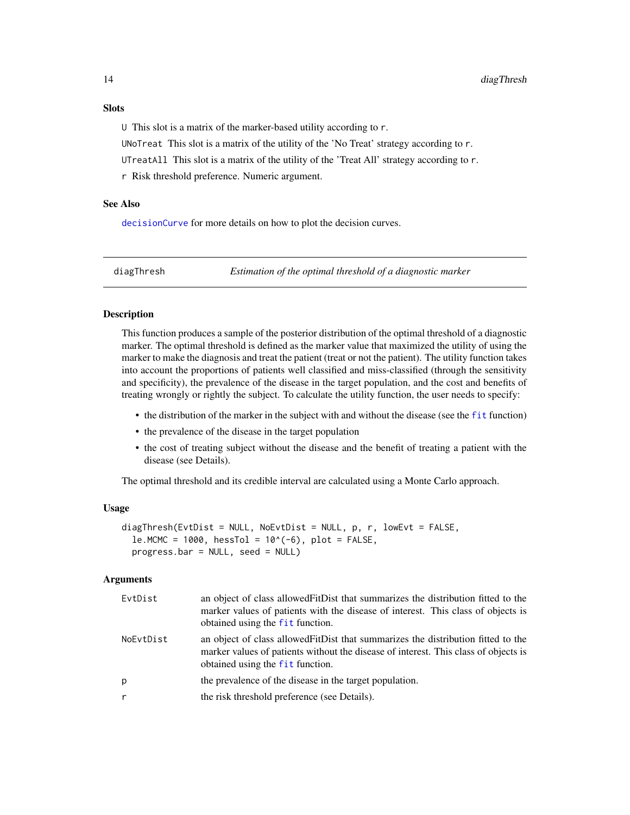## <span id="page-13-0"></span>**Slots**

U This slot is a matrix of the marker-based utility according to r.

UNoTreat This slot is a matrix of the utility of the 'No Treat' strategy according to r.

UTreatAll This slot is a matrix of the utility of the 'Treat All' strategy according to r.

r Risk threshold preference. Numeric argument.

## See Also

[decisionCurve](#page-9-1) for more details on how to plot the decision curves.

<span id="page-13-1"></span>diagThresh *Estimation of the optimal threshold of a diagnostic marker*

### **Description**

This function produces a sample of the posterior distribution of the optimal threshold of a diagnostic marker. The optimal threshold is defined as the marker value that maximized the utility of using the marker to make the diagnosis and treat the patient (treat or not the patient). The utility function takes into account the proportions of patients well classified and miss-classified (through the sensitivity and specificity), the prevalence of the disease in the target population, and the cost and benefits of treating wrongly or rightly the subject. To calculate the utility function, the user needs to specify:

- the distribution of the marker in the subject with and without the disease (see the [fit](#page-16-1) function)
- the prevalence of the disease in the target population
- the cost of treating subject without the disease and the benefit of treating a patient with the disease (see Details).

The optimal threshold and its credible interval are calculated using a Monte Carlo approach.

## Usage

```
diagThresh(EvtDist = NULL, NoEvtDist = NULL, p, r, lowEvt = FALSE,
  le.MCMC = 1000, hesTol = 10^(-6), plot = FALSE,
 progress.bar = NULL, seed = NULL)
```

| EvtDist   | an object of class allowed FitDist that summarizes the distribution fitted to the<br>marker values of patients with the disease of interest. This class of objects is<br>obtained using the fit function.    |
|-----------|--------------------------------------------------------------------------------------------------------------------------------------------------------------------------------------------------------------|
| NoEvtDist | an object of class allowed FitDist that summarizes the distribution fitted to the<br>marker values of patients without the disease of interest. This class of objects is<br>obtained using the fit function. |
| p         | the prevalence of the disease in the target population.                                                                                                                                                      |
|           | the risk threshold preference (see Details).                                                                                                                                                                 |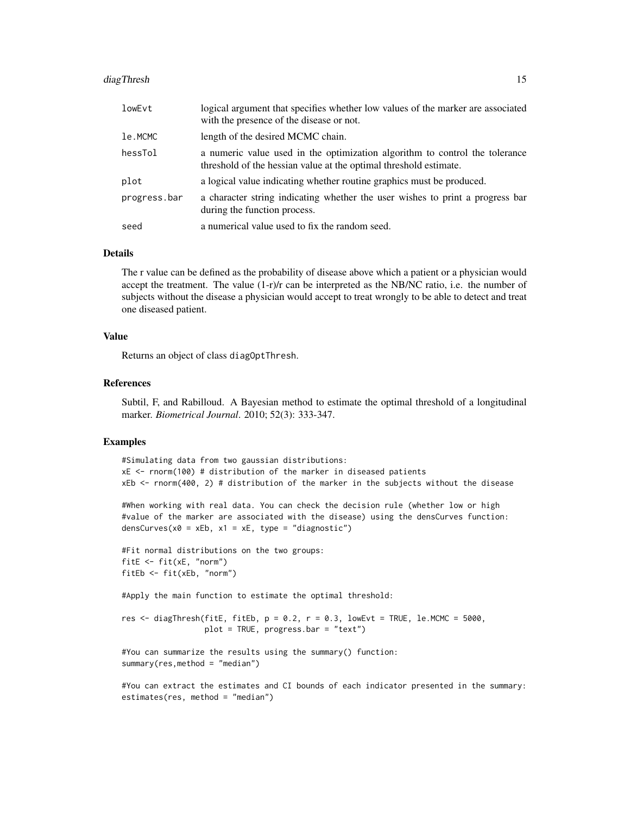## diagThresh 15

| lowEvt       | logical argument that specifies whether low values of the marker are associated<br>with the presence of the disease or not.                      |
|--------------|--------------------------------------------------------------------------------------------------------------------------------------------------|
| le.MCMC      | length of the desired MCMC chain.                                                                                                                |
| hessTol      | a numeric value used in the optimization algorithm to control the tolerance<br>threshold of the hessian value at the optimal threshold estimate. |
| plot         | a logical value indicating whether routine graphics must be produced.                                                                            |
| progress.bar | a character string indicating whether the user wishes to print a progress bar<br>during the function process.                                    |
| seed         | a numerical value used to fix the random seed.                                                                                                   |

#### Details

The r value can be defined as the probability of disease above which a patient or a physician would accept the treatment. The value  $(1-r)/r$  can be interpreted as the NB/NC ratio, i.e. the number of subjects without the disease a physician would accept to treat wrongly to be able to detect and treat one diseased patient.

#### Value

Returns an object of class diagOptThresh.

#### References

Subtil, F, and Rabilloud. A Bayesian method to estimate the optimal threshold of a longitudinal marker. *Biometrical Journal*. 2010; 52(3): 333-347.

#### Examples

```
#Simulating data from two gaussian distributions:
xE < - rnorm(100) # distribution of the marker in diseased patients
xEb <- rnorm(400, 2) # distribution of the marker in the subjects without the disease
```

```
#When working with real data. You can check the decision rule (whether low or high
#value of the marker are associated with the disease) using the densCurves function:
densCurves(x0 = xEb, x1 = xE, type = "diagnostic")
```

```
#Fit normal distributions on the two groups:
fitE <- fit(xE, "norm")
fitEb <- fit(xEb, "norm")
```
#Apply the main function to estimate the optimal threshold:

```
res \le diagThresh(fitE, fitEb, p = 0.2, r = 0.3, lowEvt = TRUE, le.MCMC = 5000,
                  plot = TRUE, progress.bar = "text")
```
#You can summarize the results using the summary() function: summary(res,method = "median")

```
#You can extract the estimates and CI bounds of each indicator presented in the summary:
estimates(res, method = "median")
```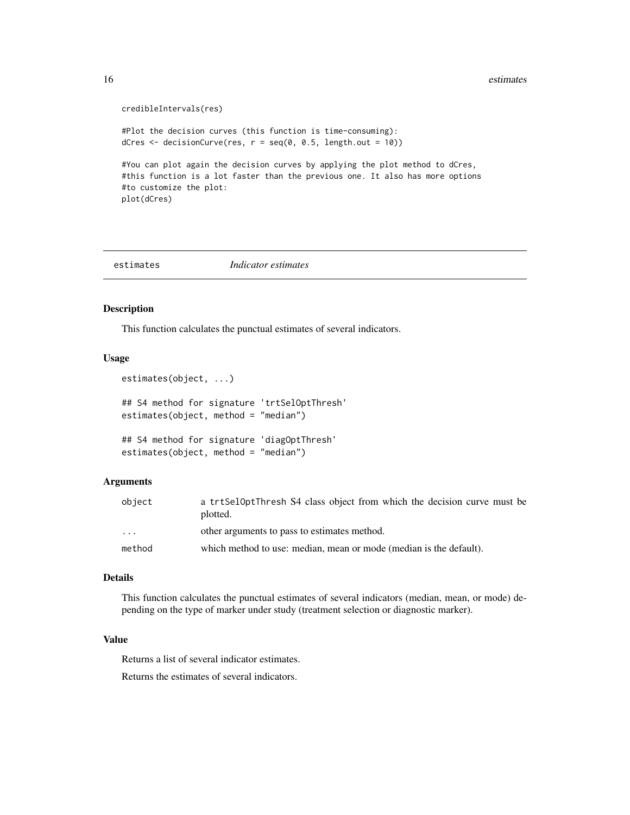```
credibleIntervals(res)
#Plot the decision curves (this function is time-consuming):
dCres \leq decisionCurve(res, r = \text{seq}(0, 0.5, \text{length.out} = 10))
#You can plot again the decision curves by applying the plot method to dCres,
#this function is a lot faster than the previous one. It also has more options
#to customize the plot:
plot(dCres)
```
#### estimates *Indicator estimates*

#### Description

This function calculates the punctual estimates of several indicators.

#### Usage

```
estimates(object, ...)
## S4 method for signature 'trtSelOptThresh'
estimates(object, method = "median")
## S4 method for signature 'diagOptThresh'
estimates(object, method = "median")
```
## Arguments

| object   | a trtSelOptThresh S4 class object from which the decision curve must be<br>plotted. |
|----------|-------------------------------------------------------------------------------------|
| $\cdots$ | other arguments to pass to estimates method.                                        |
| method   | which method to use: median, mean or mode (median is the default).                  |

#### Details

This function calculates the punctual estimates of several indicators (median, mean, or mode) depending on the type of marker under study (treatment selection or diagnostic marker).

## Value

Returns a list of several indicator estimates.

Returns the estimates of several indicators.

<span id="page-15-0"></span>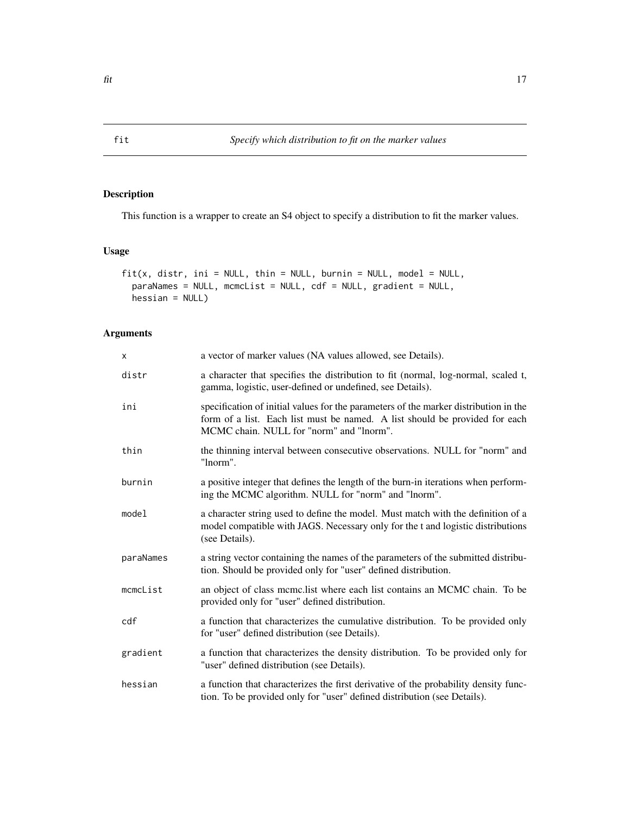## Description

This function is a wrapper to create an S4 object to specify a distribution to fit the marker values.

### Usage

```
fit(x, distr, ini = NULL, thin = NULL, burnin = NULL, model = NULL,paraNames = NULL, mcmcList = NULL, cdf = NULL, gradient = NULL,
 hessian = NULL)
```

| X         | a vector of marker values (NA values allowed, see Details).                                                                                                                                                     |
|-----------|-----------------------------------------------------------------------------------------------------------------------------------------------------------------------------------------------------------------|
| distr     | a character that specifies the distribution to fit (normal, log-normal, scaled t,<br>gamma, logistic, user-defined or undefined, see Details).                                                                  |
| ini       | specification of initial values for the parameters of the marker distribution in the<br>form of a list. Each list must be named. A list should be provided for each<br>MCMC chain. NULL for "norm" and "lnorm". |
| thin      | the thinning interval between consecutive observations. NULL for "norm" and<br>"lnorm".                                                                                                                         |
| burnin    | a positive integer that defines the length of the burn-in iterations when perform-<br>ing the MCMC algorithm. NULL for "norm" and "lnorm".                                                                      |
| model     | a character string used to define the model. Must match with the definition of a<br>model compatible with JAGS. Necessary only for the t and logistic distributions<br>(see Details).                           |
| paraNames | a string vector containing the names of the parameters of the submitted distribu-<br>tion. Should be provided only for "user" defined distribution.                                                             |
| mcmcList  | an object of class mcmc.list where each list contains an MCMC chain. To be<br>provided only for "user" defined distribution.                                                                                    |
| cdf       | a function that characterizes the cumulative distribution. To be provided only<br>for "user" defined distribution (see Details).                                                                                |
| gradient  | a function that characterizes the density distribution. To be provided only for<br>"user" defined distribution (see Details).                                                                                   |
| hessian   | a function that characterizes the first derivative of the probability density func-<br>tion. To be provided only for "user" defined distribution (see Details).                                                 |

<span id="page-16-1"></span><span id="page-16-0"></span>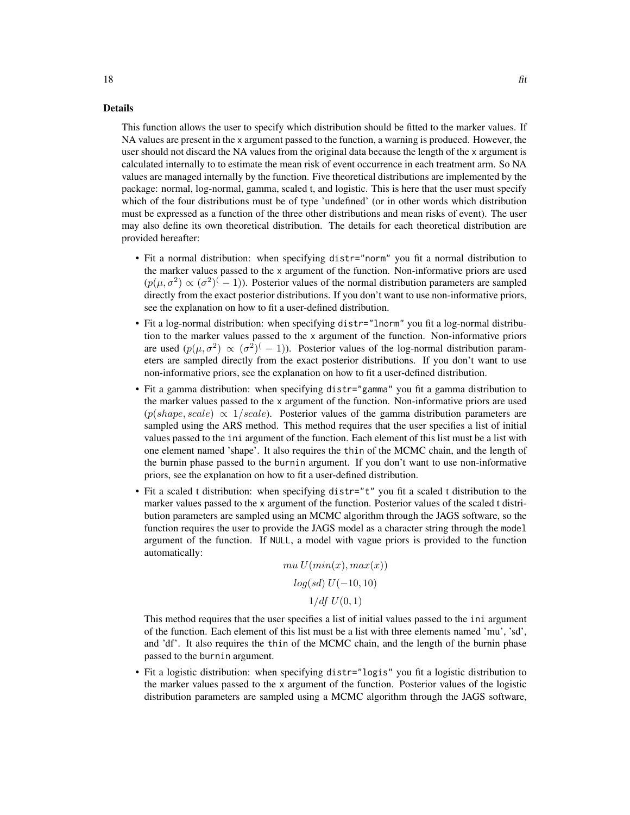#### Details

This function allows the user to specify which distribution should be fitted to the marker values. If NA values are present in the x argument passed to the function, a warning is produced. However, the user should not discard the NA values from the original data because the length of the x argument is calculated internally to to estimate the mean risk of event occurrence in each treatment arm. So NA values are managed internally by the function. Five theoretical distributions are implemented by the package: normal, log-normal, gamma, scaled t, and logistic. This is here that the user must specify which of the four distributions must be of type 'undefined' (or in other words which distribution must be expressed as a function of the three other distributions and mean risks of event). The user may also define its own theoretical distribution. The details for each theoretical distribution are provided hereafter:

- Fit a normal distribution: when specifying distr="norm" you fit a normal distribution to the marker values passed to the x argument of the function. Non-informative priors are used  $(p(\mu, \sigma^2) \propto (\sigma^2)^{-1})$ ). Posterior values of the normal distribution parameters are sampled directly from the exact posterior distributions. If you don't want to use non-informative priors, see the explanation on how to fit a user-defined distribution.
- Fit a log-normal distribution: when specifying distr="lnorm" you fit a log-normal distribution to the marker values passed to the x argument of the function. Non-informative priors are used  $(p(\mu, \sigma^2) \propto (\sigma^2)^{-1})$ . Posterior values of the log-normal distribution parameters are sampled directly from the exact posterior distributions. If you don't want to use non-informative priors, see the explanation on how to fit a user-defined distribution.
- Fit a gamma distribution: when specifying distr="gamma" you fit a gamma distribution to the marker values passed to the x argument of the function. Non-informative priors are used  $(p(shape, scale) \propto 1/scale)$ . Posterior values of the gamma distribution parameters are sampled using the ARS method. This method requires that the user specifies a list of initial values passed to the ini argument of the function. Each element of this list must be a list with one element named 'shape'. It also requires the thin of the MCMC chain, and the length of the burnin phase passed to the burnin argument. If you don't want to use non-informative priors, see the explanation on how to fit a user-defined distribution.
- Fit a scaled t distribution: when specifying distr="t" you fit a scaled t distribution to the marker values passed to the x argument of the function. Posterior values of the scaled t distribution parameters are sampled using an MCMC algorithm through the JAGS software, so the function requires the user to provide the JAGS model as a character string through the model argument of the function. If NULL, a model with vague priors is provided to the function automatically:

$$
mu U(min(x), max(x))
$$

$$
log(sd) U(-10, 10)
$$

$$
1/df U(0, 1)
$$

This method requires that the user specifies a list of initial values passed to the ini argument of the function. Each element of this list must be a list with three elements named 'mu', 'sd', and 'df'. It also requires the thin of the MCMC chain, and the length of the burnin phase passed to the burnin argument.

• Fit a logistic distribution: when specifying distr="logis" you fit a logistic distribution to the marker values passed to the x argument of the function. Posterior values of the logistic distribution parameters are sampled using a MCMC algorithm through the JAGS software,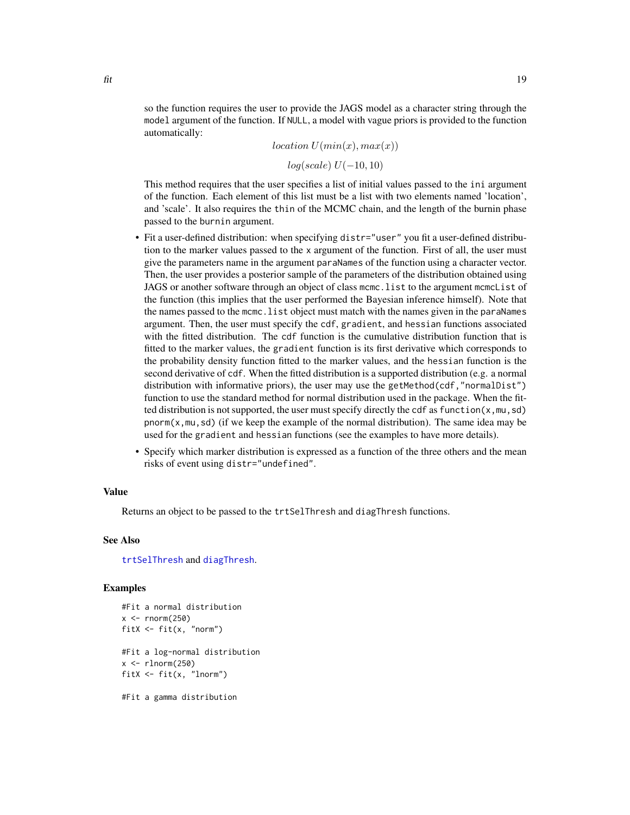<span id="page-18-0"></span>so the function requires the user to provide the JAGS model as a character string through the model argument of the function. If NULL, a model with vague priors is provided to the function automatically:

 $location U(min(x), max(x))$ 

 $log(scale) U(-10, 10)$ 

This method requires that the user specifies a list of initial values passed to the ini argument of the function. Each element of this list must be a list with two elements named 'location', and 'scale'. It also requires the thin of the MCMC chain, and the length of the burnin phase passed to the burnin argument.

- Fit a user-defined distribution: when specifying distr="user" you fit a user-defined distribution to the marker values passed to the x argument of the function. First of all, the user must give the parameters name in the argument paraNames of the function using a character vector. Then, the user provides a posterior sample of the parameters of the distribution obtained using JAGS or another software through an object of class mcmc.list to the argument mcmcList of the function (this implies that the user performed the Bayesian inference himself). Note that the names passed to the mcmc.list object must match with the names given in the paraNames argument. Then, the user must specify the cdf, gradient, and hessian functions associated with the fitted distribution. The cdf function is the cumulative distribution function that is fitted to the marker values, the gradient function is its first derivative which corresponds to the probability density function fitted to the marker values, and the hessian function is the second derivative of cdf. When the fitted distribution is a supported distribution (e.g. a normal distribution with informative priors), the user may use the getMethod(cdf, "normalDist") function to use the standard method for normal distribution used in the package. When the fitted distribution is not supported, the user must specify directly the cdf as function( $x, mu, sd$ ) pnorm( $x,$ mu, sd) (if we keep the example of the normal distribution). The same idea may be used for the gradient and hessian functions (see the examples to have more details).
- Specify which marker distribution is expressed as a function of the three others and the mean risks of event using distr="undefined".

#### Value

Returns an object to be passed to the trtSelThresh and diagThresh functions.

#### See Also

[trtSelThresh](#page-41-1) and [diagThresh](#page-13-1).

## Examples

```
#Fit a normal distribution
x < - rnorm(250)fitX <- fit(x, "norm")
#Fit a log-normal distribution
x < - rlnorm(250)
fitX \le fit(x, "lnorm")
#Fit a gamma distribution
```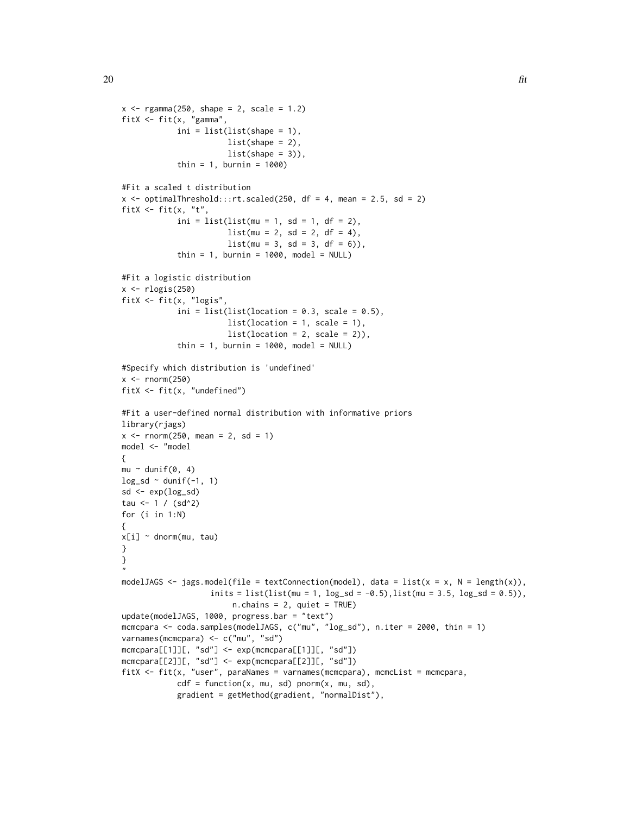```
x \leq - \text{rgamma}(250, \text{ shape} = 2, \text{ scale} = 1.2)fitX <- fit(x, "gamma",
            ini = list(list(shape = 1),list(shape = 2),
                       list(shape = 3),
            thin = 1, burnin = 1000)
#Fit a scaled t distribution
x \le- optimalThreshold:::rt.scaled(250, df = 4, mean = 2.5, sd = 2)
fitX \leq fit(x, "t",
            ini = list(list(mu = 1, sd = 1, df = 2),list(mu = 2, sd = 2, df = 4),list(mu = 3, sd = 3, df = 6)),thin = 1, burnin = 1000, model = NULL)
#Fit a logistic distribution
x <- rlogis(250)
fitX <- fit(x, "logis",
            ini = list(list(location = 0.3, scale = 0.5),
                       list(location = 1, scale = 1),list(location = 2, scale = 2)),thin = 1, burnin = 1000, model = NULL)
#Specify which distribution is 'undefined'
x < - rnorm(250)fitX <- fit(x, "undefined")
#Fit a user-defined normal distribution with informative priors
library(rjags)
x \le - rnorm(250, mean = 2, sd = 1)
model <- "model
{
mu ~ dunif(0, 4)log_s d \sim dunif(-1, 1)
sd \leftarrow exp(log_s d)tau <-1 / (sd^2)
for (i in 1:N)
{
x[i] ~ dnorm(mu, tau)
}
}
"
modelJAGS <- jags.model(file = textConnection(model), data = list(x = x, N = length(x)),
                    inits = list(list(mu = 1, log_s d = -0.5), list(mu = 3.5, log_s d = 0.5)),n.chains = 2, quiet = TRUE)
update(modelJAGS, 1000, progress.bar = "text")
mcmcpara <- coda.samples(modelJAGS, c("mu", "log_sd"), n.iter = 2000, thin = 1)
varnames(mcmcpara) <- c("mu", "sd")
mcmcpara[[1]][, "sd"] <- exp(mcmcpara[[1]][, "sd"])
mcmcpara[[2]][, "sd"] <- exp(mcmcpara[[2]][, "sd"])
fitX <- fit(x, "user", paraNames = varnames(mcmcpara), mcmcList = mcmcpara,
            cdf = function(x, mu, sd) pnorm(x, mu, sd),
            gradient = getMethod(gradient, "normalDist"),
```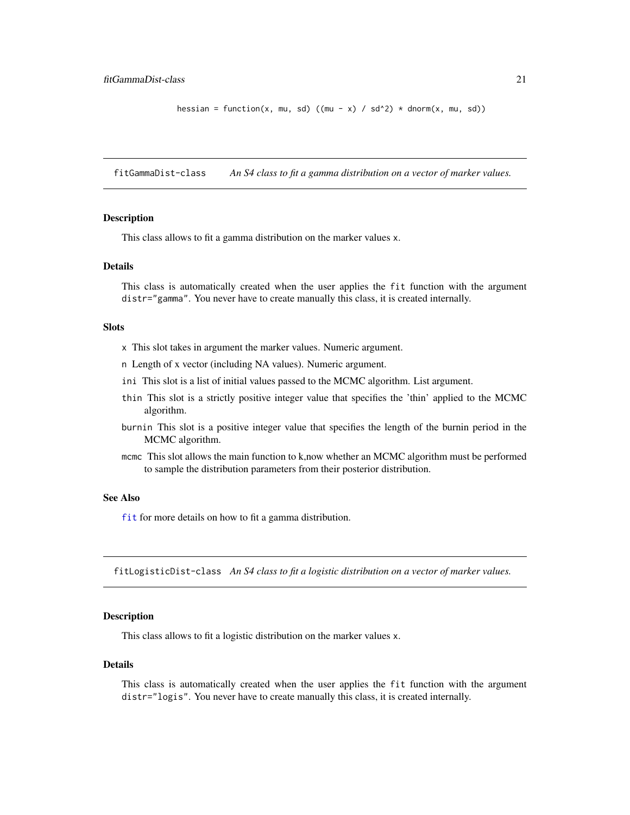```
hessian = function(x, mu, sd) ((mu - x) / sd^2) * dnorm(x, mu, sd))
```
fitGammaDist-class *An S4 class to fit a gamma distribution on a vector of marker values.*

#### Description

This class allows to fit a gamma distribution on the marker values x.

## Details

This class is automatically created when the user applies the fit function with the argument distr="gamma". You never have to create manually this class, it is created internally.

### Slots

- x This slot takes in argument the marker values. Numeric argument.
- n Length of x vector (including NA values). Numeric argument.
- ini This slot is a list of initial values passed to the MCMC algorithm. List argument.
- thin This slot is a strictly positive integer value that specifies the 'thin' applied to the MCMC algorithm.
- burnin This slot is a positive integer value that specifies the length of the burnin period in the MCMC algorithm.
- mcmc This slot allows the main function to k,now whether an MCMC algorithm must be performed to sample the distribution parameters from their posterior distribution.

## See Also

[fit](#page-16-1) for more details on how to fit a gamma distribution.

fitLogisticDist-class *An S4 class to fit a logistic distribution on a vector of marker values.*

#### Description

This class allows to fit a logistic distribution on the marker values x.

#### Details

This class is automatically created when the user applies the fit function with the argument distr="logis". You never have to create manually this class, it is created internally.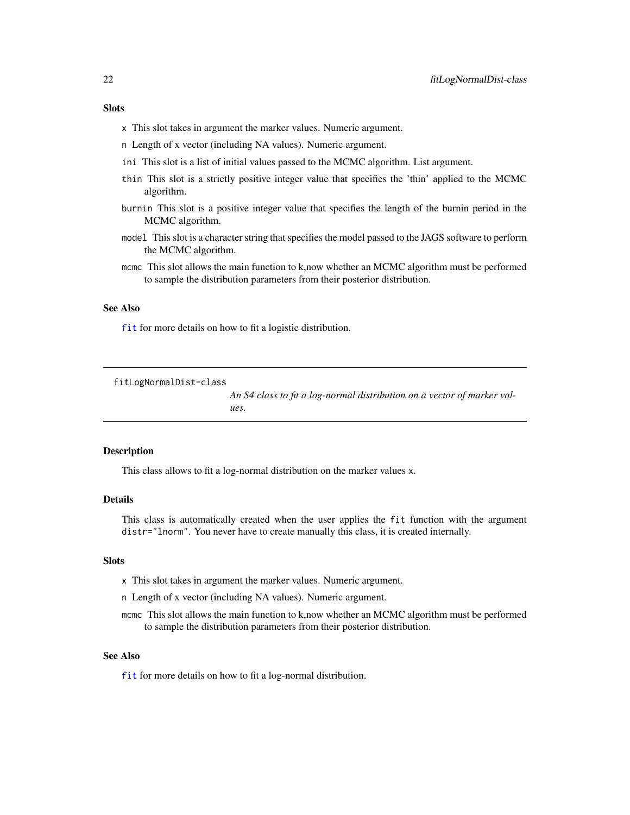## <span id="page-21-0"></span>Slots

- x This slot takes in argument the marker values. Numeric argument.
- n Length of x vector (including NA values). Numeric argument.
- ini This slot is a list of initial values passed to the MCMC algorithm. List argument.
- thin This slot is a strictly positive integer value that specifies the 'thin' applied to the MCMC algorithm.
- burnin This slot is a positive integer value that specifies the length of the burnin period in the MCMC algorithm.
- model This slot is a character string that specifies the model passed to the JAGS software to perform the MCMC algorithm.
- mcmc This slot allows the main function to k,now whether an MCMC algorithm must be performed to sample the distribution parameters from their posterior distribution.

### See Also

[fit](#page-16-1) for more details on how to fit a logistic distribution.

fitLogNormalDist-class

*An S4 class to fit a log-normal distribution on a vector of marker values.*

#### Description

This class allows to fit a log-normal distribution on the marker values x.

#### Details

This class is automatically created when the user applies the fit function with the argument distr="lnorm". You never have to create manually this class, it is created internally.

## **Slots**

- x This slot takes in argument the marker values. Numeric argument.
- n Length of x vector (including NA values). Numeric argument.
- mcmc This slot allows the main function to k,now whether an MCMC algorithm must be performed to sample the distribution parameters from their posterior distribution.

#### See Also

[fit](#page-16-1) for more details on how to fit a log-normal distribution.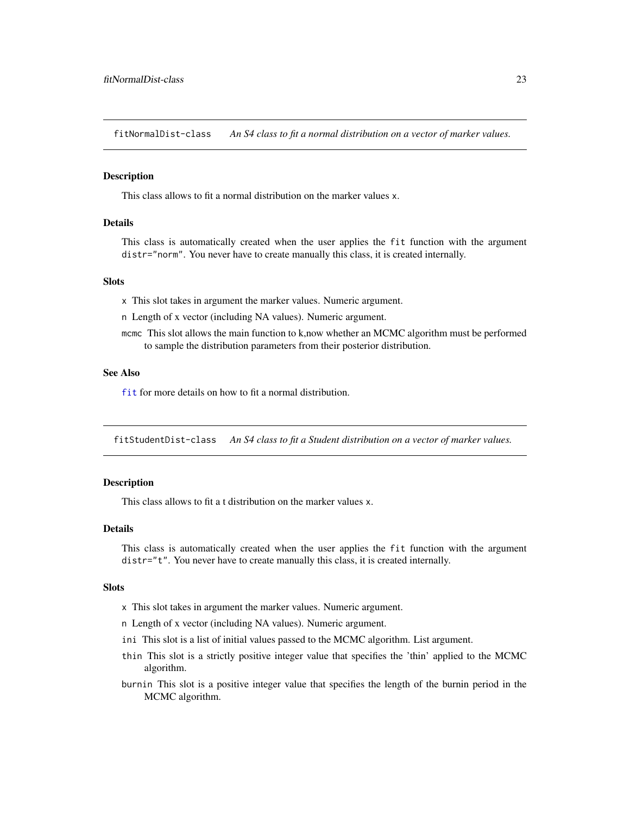<span id="page-22-0"></span>fitNormalDist-class *An S4 class to fit a normal distribution on a vector of marker values.*

#### **Description**

This class allows to fit a normal distribution on the marker values x.

#### Details

This class is automatically created when the user applies the fit function with the argument distr="norm". You never have to create manually this class, it is created internally.

#### **Slots**

x This slot takes in argument the marker values. Numeric argument.

n Length of x vector (including NA values). Numeric argument.

mcmc This slot allows the main function to k,now whether an MCMC algorithm must be performed to sample the distribution parameters from their posterior distribution.

## See Also

[fit](#page-16-1) for more details on how to fit a normal distribution.

fitStudentDist-class *An S4 class to fit a Student distribution on a vector of marker values.*

## Description

This class allows to fit a t distribution on the marker values x.

#### Details

This class is automatically created when the user applies the fit function with the argument distr="t". You never have to create manually this class, it is created internally.

#### **Slots**

- x This slot takes in argument the marker values. Numeric argument.
- n Length of x vector (including NA values). Numeric argument.
- ini This slot is a list of initial values passed to the MCMC algorithm. List argument.
- thin This slot is a strictly positive integer value that specifies the 'thin' applied to the MCMC algorithm.
- burnin This slot is a positive integer value that specifies the length of the burnin period in the MCMC algorithm.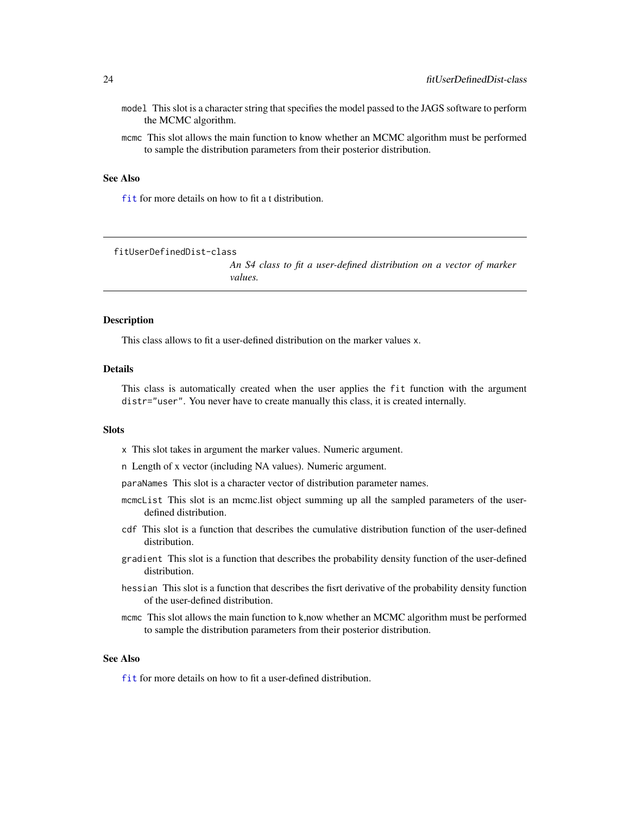- <span id="page-23-0"></span>model This slot is a character string that specifies the model passed to the JAGS software to perform the MCMC algorithm.
- mcmc This slot allows the main function to know whether an MCMC algorithm must be performed to sample the distribution parameters from their posterior distribution.

#### See Also

[fit](#page-16-1) for more details on how to fit a t distribution.

fitUserDefinedDist-class

*An S4 class to fit a user-defined distribution on a vector of marker values.*

#### **Description**

This class allows to fit a user-defined distribution on the marker values x.

## Details

This class is automatically created when the user applies the fit function with the argument distr="user". You never have to create manually this class, it is created internally.

### **Slots**

- x This slot takes in argument the marker values. Numeric argument.
- n Length of x vector (including NA values). Numeric argument.
- paraNames This slot is a character vector of distribution parameter names.
- mcmcList This slot is an mcmc.list object summing up all the sampled parameters of the userdefined distribution.
- cdf This slot is a function that describes the cumulative distribution function of the user-defined distribution.
- gradient This slot is a function that describes the probability density function of the user-defined distribution.
- hessian This slot is a function that describes the fisrt derivative of the probability density function of the user-defined distribution.
- mcmc This slot allows the main function to k,now whether an MCMC algorithm must be performed to sample the distribution parameters from their posterior distribution.

## See Also

[fit](#page-16-1) for more details on how to fit a user-defined distribution.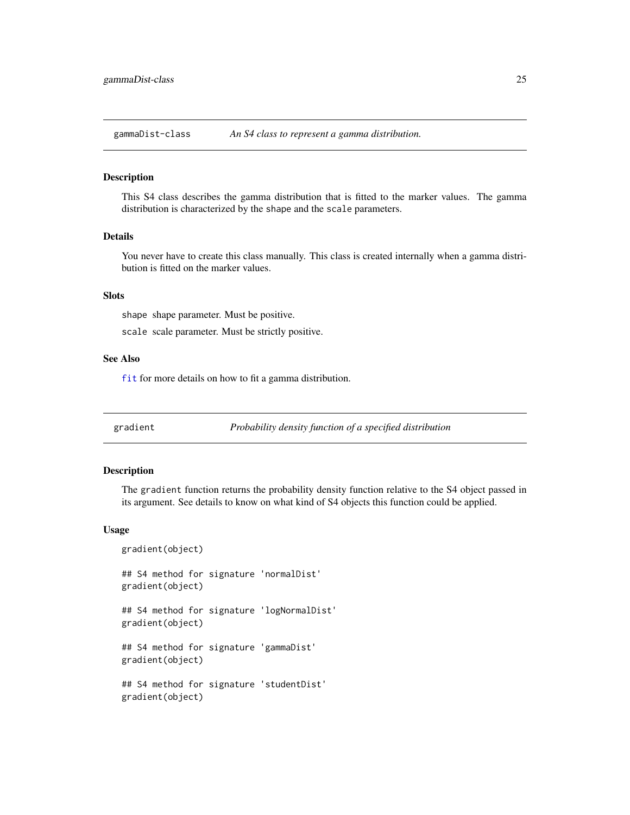<span id="page-24-0"></span>gammaDist-class *An S4 class to represent a gamma distribution.*

#### Description

This S4 class describes the gamma distribution that is fitted to the marker values. The gamma distribution is characterized by the shape and the scale parameters.

## Details

You never have to create this class manually. This class is created internally when a gamma distribution is fitted on the marker values.

## Slots

shape shape parameter. Must be positive.

scale scale parameter. Must be strictly positive.

#### See Also

[fit](#page-16-1) for more details on how to fit a gamma distribution.

gradient *Probability density function of a specified distribution*

## Description

The gradient function returns the probability density function relative to the S4 object passed in its argument. See details to know on what kind of S4 objects this function could be applied.

#### Usage

```
gradient(object)
```
## S4 method for signature 'normalDist' gradient(object)

## S4 method for signature 'logNormalDist' gradient(object)

## S4 method for signature 'gammaDist' gradient(object)

## S4 method for signature 'studentDist' gradient(object)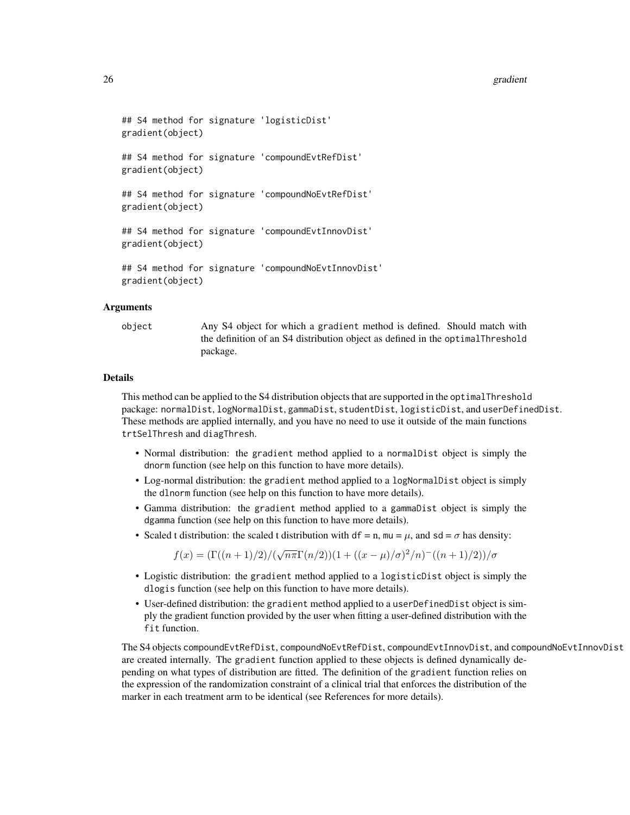#### 26 gradient word in the second control of the second control of the second control of the second control of the second control of the second control of the second control of the second control of the second control of the

```
## S4 method for signature 'logisticDist'
gradient(object)
## S4 method for signature 'compoundEvtRefDist'
gradient(object)
## S4 method for signature 'compoundNoEvtRefDist'
gradient(object)
## S4 method for signature 'compoundEvtInnovDist'
gradient(object)
## S4 method for signature 'compoundNoEvtInnovDist'
gradient(object)
```
#### Arguments

object Any S4 object for which a gradient method is defined. Should match with the definition of an S4 distribution object as defined in the optimalThreshold package.

#### Details

This method can be applied to the S4 distribution objects that are supported in the optimalThreshold package: normalDist, logNormalDist, gammaDist, studentDist, logisticDist, and userDefinedDist. These methods are applied internally, and you have no need to use it outside of the main functions trtSelThresh and diagThresh.

- Normal distribution: the gradient method applied to a normalDist object is simply the dnorm function (see help on this function to have more details).
- Log-normal distribution: the gradient method applied to a logNormalDist object is simply the dlnorm function (see help on this function to have more details).
- Gamma distribution: the gradient method applied to a gammaDist object is simply the dgamma function (see help on this function to have more details).
- Scaled t distribution: the scaled t distribution with df = n, mu =  $\mu$ , and sd =  $\sigma$  has density:

 $f(x) = \frac{\Gamma((n+1)/2)}{\sqrt{n\pi}\Gamma(n/2)}(1 + \frac{(x-\mu)}{\sigma})^2/n^{-1}((n+1)/2)}$ 

- Logistic distribution: the gradient method applied to a logisticDist object is simply the dlogis function (see help on this function to have more details).
- User-defined distribution: the gradient method applied to a userDefinedDist object is simply the gradient function provided by the user when fitting a user-defined distribution with the fit function.

The S4 objects compoundEvtRefDist, compoundNoEvtRefDist, compoundEvtInnovDist, and compoundNoEvtInnovDist are created internally. The gradient function applied to these objects is defined dynamically depending on what types of distribution are fitted. The definition of the gradient function relies on the expression of the randomization constraint of a clinical trial that enforces the distribution of the marker in each treatment arm to be identical (see References for more details).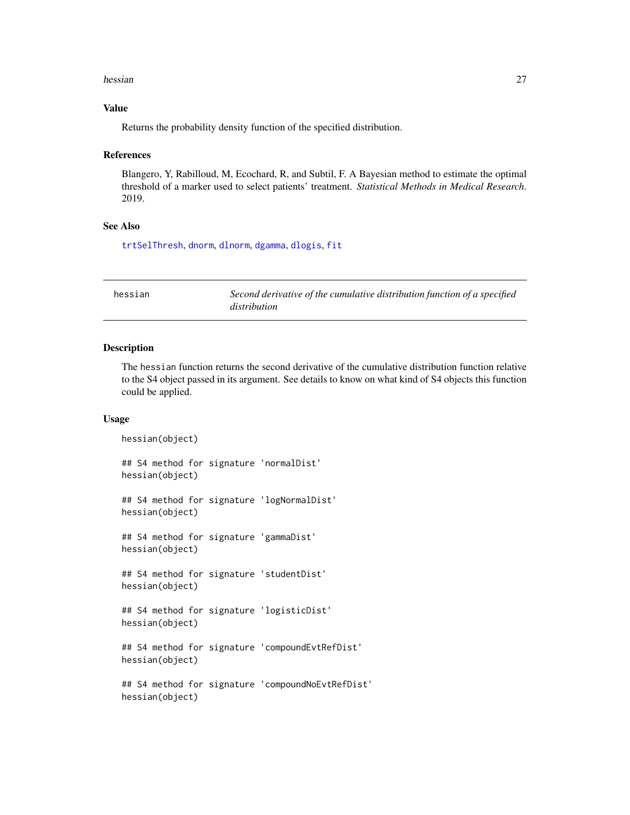#### <span id="page-26-0"></span>hessian 27 and 27 and 27 and 27 and 27 and 27 and 27 and 27 and 27 and 27 and 27 and 27 and 27 and 27 and 27 and 27 and 27 and 27 and 27 and 27 and 27 and 27 and 27 and 27 and 27 and 27 and 27 and 27 and 27 and 27 and 27 a

## Value

Returns the probability density function of the specified distribution.

#### References

Blangero, Y, Rabilloud, M, Ecochard, R, and Subtil, F. A Bayesian method to estimate the optimal threshold of a marker used to select patients' treatment. *Statistical Methods in Medical Research*. 2019.

## See Also

[trtSelThresh](#page-41-1), [dnorm](#page-0-0), [dlnorm](#page-0-0), [dgamma](#page-0-0), [dlogis](#page-0-0), [fit](#page-16-1)

| hessian | Second derivative of the cumulative distribution function of a specified |
|---------|--------------------------------------------------------------------------|
|         | distribution                                                             |

#### Description

The hessian function returns the second derivative of the cumulative distribution function relative to the S4 object passed in its argument. See details to know on what kind of S4 objects this function could be applied.

#### Usage

```
hessian(object)
## S4 method for signature 'normalDist'
hessian(object)
## S4 method for signature 'logNormalDist'
hessian(object)
## S4 method for signature 'gammaDist'
hessian(object)
## S4 method for signature 'studentDist'
hessian(object)
## S4 method for signature 'logisticDist'
hessian(object)
## S4 method for signature 'compoundEvtRefDist'
hessian(object)
## S4 method for signature 'compoundNoEvtRefDist'
hessian(object)
```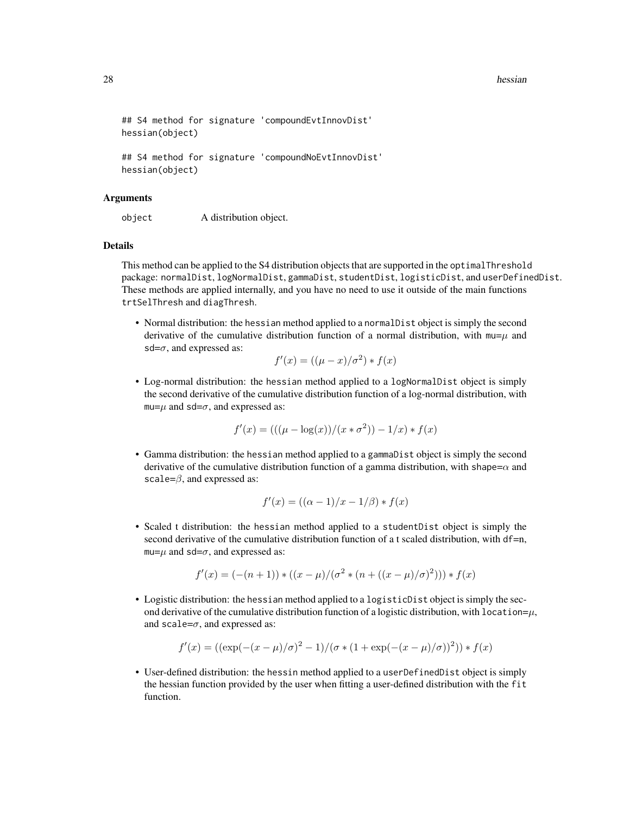#### 28 hessian and the state of the state of the state of the state of the state of the state of the state of the state of the state of the state of the state of the state of the state of the state of the state of the state of

```
## S4 method for signature 'compoundEvtInnovDist'
hessian(object)
## S4 method for signature 'compoundNoEvtInnovDist'
hessian(object)
```
#### Arguments

object A distribution object.

## Details

This method can be applied to the S4 distribution objects that are supported in the optimalThreshold package: normalDist, logNormalDist, gammaDist, studentDist, logisticDist, and userDefinedDist. These methods are applied internally, and you have no need to use it outside of the main functions trtSelThresh and diagThresh.

• Normal distribution: the hessian method applied to a normalDist object is simply the second derivative of the cumulative distribution function of a normal distribution, with  $mu=\mu$  and sd= $\sigma$ , and expressed as:

$$
f'(x) = ((\mu - x)/\sigma^2) * f(x)
$$

• Log-normal distribution: the hessian method applied to a logNormalDist object is simply the second derivative of the cumulative distribution function of a log-normal distribution, with  $mu=\mu$  and sd= $\sigma$ , and expressed as:

$$
f'(x) = (((\mu - \log(x))/(x * \sigma^2)) - 1/x) * f(x)
$$

• Gamma distribution: the hessian method applied to a gammaDist object is simply the second derivative of the cumulative distribution function of a gamma distribution, with shape= $\alpha$  and scale= $\beta$ , and expressed as:

$$
f'(x) = ((\alpha - 1)/x - 1/\beta) * f(x)
$$

• Scaled t distribution: the hessian method applied to a studentDist object is simply the second derivative of the cumulative distribution function of a t scaled distribution, with df=n, mu= $\mu$  and sd= $\sigma$ , and expressed as:

$$
f'(x) = (-(n+1)) * ((x - \mu)/(\sigma^2 * (n + ((x - \mu)/\sigma)^2))) * f(x)
$$

• Logistic distribution: the hessian method applied to a logisticDist object is simply the second derivative of the cumulative distribution function of a logistic distribution, with location= $\mu$ , and scale= $\sigma$ , and expressed as:

$$
f'(x) = ((\exp(-(x-\mu)/\sigma)^2 - 1)/(\sigma * (1 + \exp(-(x-\mu)/\sigma))^2)) * f(x)
$$

• User-defined distribution: the hessin method applied to a userDefinedDist object is simply the hessian function provided by the user when fitting a user-defined distribution with the fit function.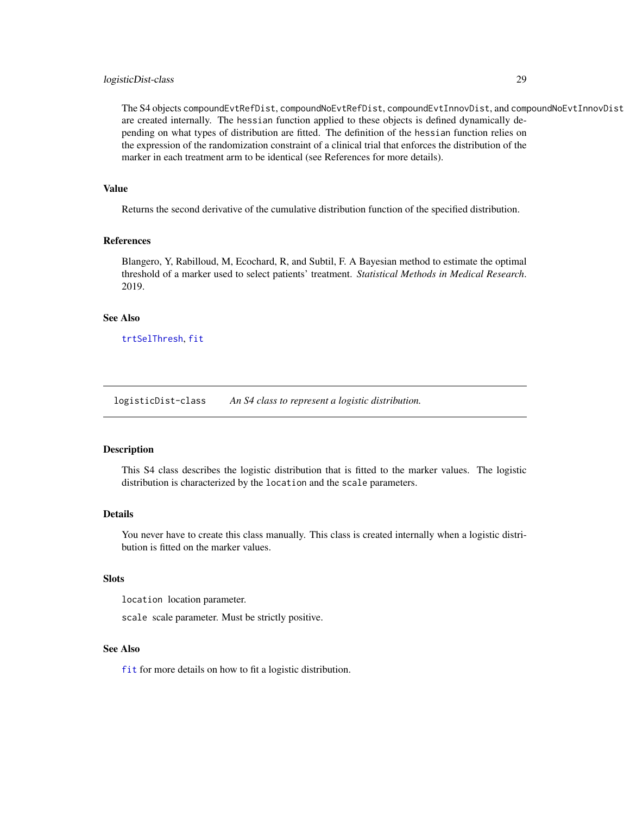## <span id="page-28-0"></span>logisticDist-class 29

The S4 objects compoundEvtRefDist, compoundNoEvtRefDist, compoundEvtInnovDist, and compoundNoEvtInnovDist are created internally. The hessian function applied to these objects is defined dynamically depending on what types of distribution are fitted. The definition of the hessian function relies on the expression of the randomization constraint of a clinical trial that enforces the distribution of the marker in each treatment arm to be identical (see References for more details).

## Value

Returns the second derivative of the cumulative distribution function of the specified distribution.

#### References

Blangero, Y, Rabilloud, M, Ecochard, R, and Subtil, F. A Bayesian method to estimate the optimal threshold of a marker used to select patients' treatment. *Statistical Methods in Medical Research*. 2019.

#### See Also

[trtSelThresh](#page-41-1), [fit](#page-16-1)

logisticDist-class *An S4 class to represent a logistic distribution.*

#### Description

This S4 class describes the logistic distribution that is fitted to the marker values. The logistic distribution is characterized by the location and the scale parameters.

#### Details

You never have to create this class manually. This class is created internally when a logistic distribution is fitted on the marker values.

#### Slots

location location parameter.

scale scale parameter. Must be strictly positive.

#### See Also

[fit](#page-16-1) for more details on how to fit a logistic distribution.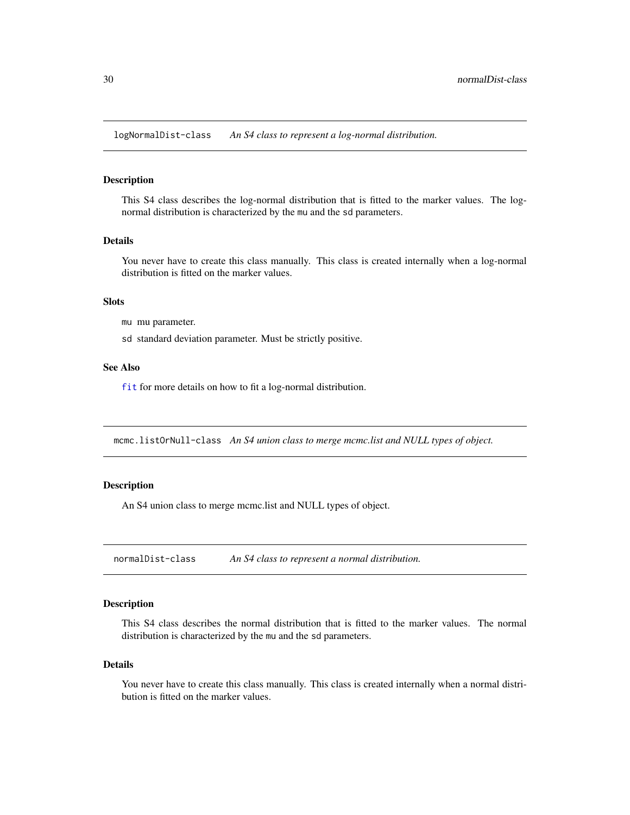<span id="page-29-0"></span>logNormalDist-class *An S4 class to represent a log-normal distribution.*

## Description

This S4 class describes the log-normal distribution that is fitted to the marker values. The lognormal distribution is characterized by the mu and the sd parameters.

#### Details

You never have to create this class manually. This class is created internally when a log-normal distribution is fitted on the marker values.

## **Slots**

mu mu parameter.

sd standard deviation parameter. Must be strictly positive.

## See Also

[fit](#page-16-1) for more details on how to fit a log-normal distribution.

mcmc.listOrNull-class *An S4 union class to merge mcmc.list and NULL types of object.*

## Description

An S4 union class to merge mcmc.list and NULL types of object.

normalDist-class *An S4 class to represent a normal distribution.*

#### Description

This S4 class describes the normal distribution that is fitted to the marker values. The normal distribution is characterized by the mu and the sd parameters.

#### Details

You never have to create this class manually. This class is created internally when a normal distribution is fitted on the marker values.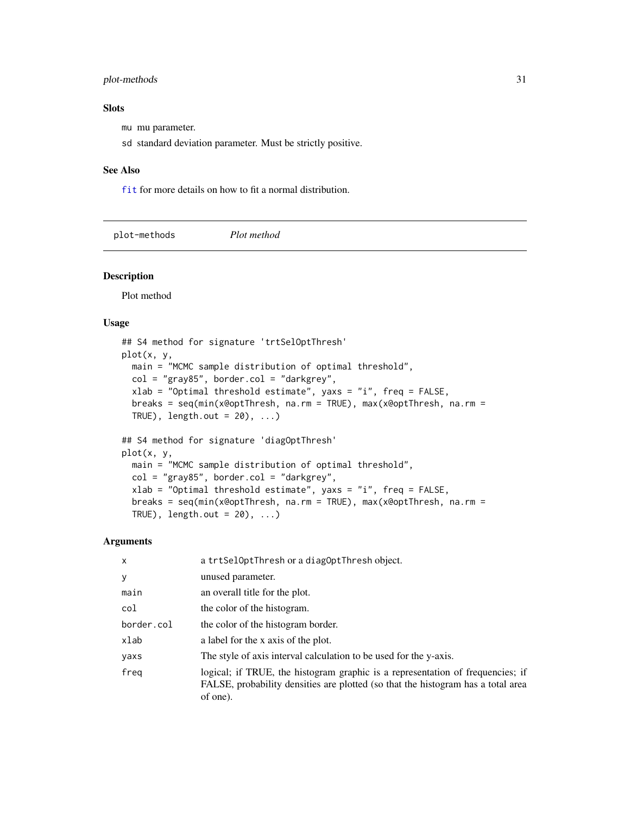## <span id="page-30-0"></span>plot-methods 31

## Slots

mu mu parameter.

sd standard deviation parameter. Must be strictly positive.

#### See Also

[fit](#page-16-1) for more details on how to fit a normal distribution.

plot-methods *Plot method*

## Description

Plot method

## Usage

```
## S4 method for signature 'trtSelOptThresh'
plot(x, y,
 main = "MCMC sample distribution of optimal threshold",
 col = "gray85", border.col = "darkgrey",xlab = "Optimal threshold estimate", yaxs = "i", freq = FALSE,
 breaks = seq(min(x@optThresh, na.rm = TRUE), max(x@optThresh, na.rm =
 TRUE), length.out = 20), ...)
## S4 method for signature 'diagOptThresh'
```

```
plot(x, y,
 main = "MCMC sample distribution of optimal threshold",
 col = "gray85", border.col = "darkgrey",xlab = "Optimal threshold estimate", yaxs = "i", freq = FALSE,
 breaks = seq(min(x@optThresh, na.rm = TRUE), max(x@optThresh, na.rm =
 TRUE), length.out = 20), ...)
```

| $\mathsf{x}$ | a trtSelOptThresh or a diagOptThresh object.                                                                                                                                   |
|--------------|--------------------------------------------------------------------------------------------------------------------------------------------------------------------------------|
| y            | unused parameter.                                                                                                                                                              |
| main         | an overall title for the plot.                                                                                                                                                 |
| col          | the color of the histogram.                                                                                                                                                    |
| border.col   | the color of the histogram border.                                                                                                                                             |
| xlab         | a label for the x axis of the plot.                                                                                                                                            |
| yaxs         | The style of axis interval calculation to be used for the y-axis.                                                                                                              |
| freg         | logical; if TRUE, the histogram graphic is a representation of frequencies; if<br>FALSE, probability densities are plotted (so that the histogram has a total area<br>of one). |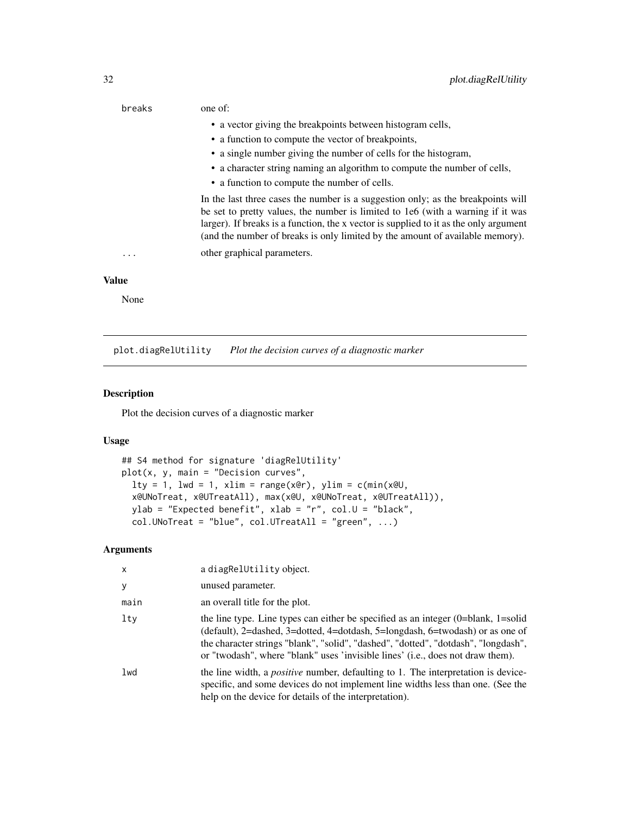<span id="page-31-0"></span>

| breaks       | one of:                                                                                                                                                                                                                                                                                                                                       |
|--------------|-----------------------------------------------------------------------------------------------------------------------------------------------------------------------------------------------------------------------------------------------------------------------------------------------------------------------------------------------|
|              | • a vector giving the breakpoints between histogram cells,                                                                                                                                                                                                                                                                                    |
|              | • a function to compute the vector of breakpoints,                                                                                                                                                                                                                                                                                            |
|              | • a single number giving the number of cells for the histogram,                                                                                                                                                                                                                                                                               |
|              | • a character string naming an algorithm to compute the number of cells,                                                                                                                                                                                                                                                                      |
|              | • a function to compute the number of cells.                                                                                                                                                                                                                                                                                                  |
|              | In the last three cases the number is a suggestion only; as the breakpoints will<br>be set to pretty values, the number is limited to 1e6 (with a warning if it was<br>larger). If breaks is a function, the x vector is supplied to it as the only argument<br>(and the number of breaks is only limited by the amount of available memory). |
| .            | other graphical parameters.                                                                                                                                                                                                                                                                                                                   |
| <b>Value</b> |                                                                                                                                                                                                                                                                                                                                               |
| None         |                                                                                                                                                                                                                                                                                                                                               |

plot.diagRelUtility *Plot the decision curves of a diagnostic marker*

#### Description

Plot the decision curves of a diagnostic marker

## Usage

```
## S4 method for signature 'diagRelUtility'
plot(x, y, main = "Decision curves",
  lty = 1, lwd = 1, xlim = range(x@r), ylim = c(min(x@U,x@UNoTreat, x@UTreatAll), max(x@U, x@UNoTreat, x@UTreatAll)),
 ylab = "Expected benefit", xlab = "r", col.U = "black",
  col.UNoTreat = "blue", col.UTreatAll = "green", ...)
```

| x      | a diagRelUtility object.                                                                                                                                                                                                                                                                                                                      |
|--------|-----------------------------------------------------------------------------------------------------------------------------------------------------------------------------------------------------------------------------------------------------------------------------------------------------------------------------------------------|
| y      | unused parameter.                                                                                                                                                                                                                                                                                                                             |
| main   | an overall title for the plot.                                                                                                                                                                                                                                                                                                                |
| $1$ ty | the line type. Line types can either be specified as an integer $(0=blank, 1=solid)$<br>(default), 2=dashed, 3=dotted, 4=dotdash, 5=longdash, 6=twodash) or as one of<br>the character strings "blank", "solid", "dashed", "dotted", "dotdash", "longdash",<br>or "twodash", where "blank" uses 'invisible lines' (i.e., does not draw them). |
| lwd    | the line width, a <i>positive</i> number, defaulting to 1. The interpretation is device-<br>specific, and some devices do not implement line widths less than one. (See the<br>help on the device for details of the interpretation).                                                                                                         |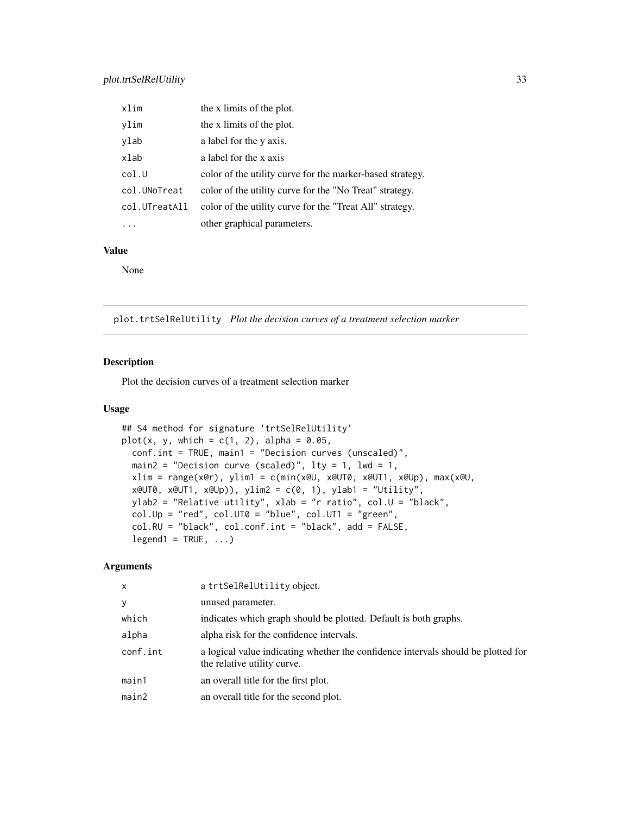<span id="page-32-0"></span>

| xlim          | the x limits of the plot.                                 |
|---------------|-----------------------------------------------------------|
| ylim          | the x limits of the plot.                                 |
| ylab          | a label for the y axis.                                   |
| xlab          | a label for the x axis                                    |
| col.U         | color of the utility curve for the marker-based strategy. |
| col.UNoTreat  | color of the utility curve for the "No Treat" strategy.   |
| col.UTreatAll | color of the utility curve for the "Treat All" strategy.  |
|               | other graphical parameters.                               |

## Value

None

plot.trtSelRelUtility *Plot the decision curves of a treatment selection marker*

## Description

Plot the decision curves of a treatment selection marker

## Usage

```
## S4 method for signature 'trtSelRelUtility'
plot(x, y, which = c(1, 2), alpha = 0.05,conf.int = TRUE, main1 = "Decision curves (unscaled)",
 main2 = "Decision curve (scaled)", lty = 1, lwd = 1,
 xlim = range(x@r), ylim1 = c(min(x@U, x@UT0, x@UT1, x@Up), max(x@U,
 x@UT0, x@UT1, x@Up)), ylim2 = c(0, 1), ylab1 = "Utility",
 ylab2 = "Relative utility", xlab = "r ratio", col.U = "black",
 col.Up = "red", col.UTo = "blue", col.UT1 = "green",col.RU = "black", col.conf.int = "black", add = FALSE,
  legend1 = TRUE, ...
```

| $\times$ | a trtSelRelUtility object.                                                                                       |
|----------|------------------------------------------------------------------------------------------------------------------|
| У        | unused parameter.                                                                                                |
| which    | indicates which graph should be plotted. Default is both graphs.                                                 |
| alpha    | alpha risk for the confidence intervals.                                                                         |
| conf.int | a logical value indicating whether the confidence intervals should be plotted for<br>the relative utility curve. |
| main1    | an overall title for the first plot.                                                                             |
| main2    | an overall title for the second plot.                                                                            |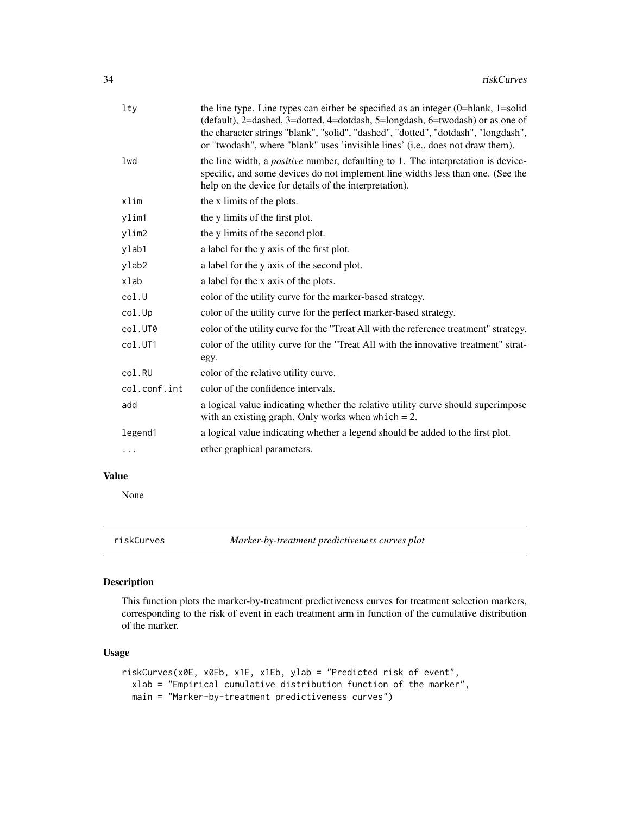<span id="page-33-0"></span>

| lty          | the line type. Line types can either be specified as an integer $(0=blank, 1=solid)$<br>(default), 2=dashed, 3=dotted, 4=dotdash, 5=longdash, 6=twodash) or as one of<br>the character strings "blank", "solid", "dashed", "dotted", "dotdash", "longdash",<br>or "twodash", where "blank" uses 'invisible lines' (i.e., does not draw them). |
|--------------|-----------------------------------------------------------------------------------------------------------------------------------------------------------------------------------------------------------------------------------------------------------------------------------------------------------------------------------------------|
| lwd          | the line width, a <i>positive</i> number, defaulting to 1. The interpretation is device-<br>specific, and some devices do not implement line widths less than one. (See the<br>help on the device for details of the interpretation).                                                                                                         |
| xlim         | the x limits of the plots.                                                                                                                                                                                                                                                                                                                    |
| ylim1        | the y limits of the first plot.                                                                                                                                                                                                                                                                                                               |
| ylim2        | the y limits of the second plot.                                                                                                                                                                                                                                                                                                              |
| ylab1        | a label for the y axis of the first plot.                                                                                                                                                                                                                                                                                                     |
| ylab2        | a label for the y axis of the second plot.                                                                                                                                                                                                                                                                                                    |
| $x$ lab      | a label for the x axis of the plots.                                                                                                                                                                                                                                                                                                          |
| col.U        | color of the utility curve for the marker-based strategy.                                                                                                                                                                                                                                                                                     |
| col.Up       | color of the utility curve for the perfect marker-based strategy.                                                                                                                                                                                                                                                                             |
| col.UT0      | color of the utility curve for the "Treat All with the reference treatment" strategy.                                                                                                                                                                                                                                                         |
| col.UT1      | color of the utility curve for the "Treat All with the innovative treatment" strat-<br>egy.                                                                                                                                                                                                                                                   |
| col.RU       | color of the relative utility curve.                                                                                                                                                                                                                                                                                                          |
| col.conf.int | color of the confidence intervals.                                                                                                                                                                                                                                                                                                            |
| add          | a logical value indicating whether the relative utility curve should superimpose<br>with an existing graph. Only works when which $= 2$ .                                                                                                                                                                                                     |
| legend1      | a logical value indicating whether a legend should be added to the first plot.                                                                                                                                                                                                                                                                |
| .            | other graphical parameters.                                                                                                                                                                                                                                                                                                                   |
|              |                                                                                                                                                                                                                                                                                                                                               |

## Value

None

riskCurves *Marker-by-treatment predictiveness curves plot*

## Description

This function plots the marker-by-treatment predictiveness curves for treatment selection markers, corresponding to the risk of event in each treatment arm in function of the cumulative distribution of the marker.

## Usage

```
riskCurves(x0E, x0Eb, x1E, x1Eb, ylab = "Predicted risk of event",
 xlab = "Empirical cumulative distribution function of the marker",
 main = "Marker-by-treatment predictiveness curves")
```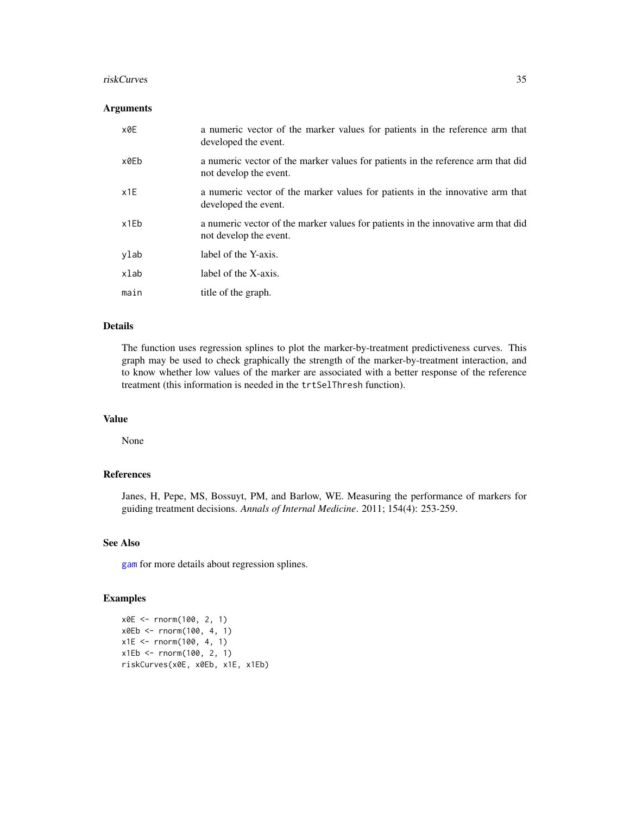#### <span id="page-34-0"></span>riskCurves 35

## Arguments

| x0E  | a numeric vector of the marker values for patients in the reference arm that<br>developed the event.        |
|------|-------------------------------------------------------------------------------------------------------------|
| x0Eb | a numeric vector of the marker values for patients in the reference arm that did<br>not develop the event.  |
| x1E  | a numeric vector of the marker values for patients in the innovative arm that<br>developed the event.       |
| x1Eb | a numeric vector of the marker values for patients in the innovative arm that did<br>not develop the event. |
| ylab | label of the Y-axis.                                                                                        |
| xlab | label of the X-axis.                                                                                        |
| main | title of the graph.                                                                                         |

## Details

The function uses regression splines to plot the marker-by-treatment predictiveness curves. This graph may be used to check graphically the strength of the marker-by-treatment interaction, and to know whether low values of the marker are associated with a better response of the reference treatment (this information is needed in the trtSelThresh function).

## Value

None

## References

Janes, H, Pepe, MS, Bossuyt, PM, and Barlow, WE. Measuring the performance of markers for guiding treatment decisions. *Annals of Internal Medicine*. 2011; 154(4): 253-259.

#### See Also

[gam](#page-0-0) for more details about regression splines.

#### Examples

```
x0E <- rnorm(100, 2, 1)
x0Eb <- rnorm(100, 4, 1)
x1E <- rnorm(100, 4, 1)
x1Eb <- rnorm(100, 2, 1)
riskCurves(x0E, x0Eb, x1E, x1Eb)
```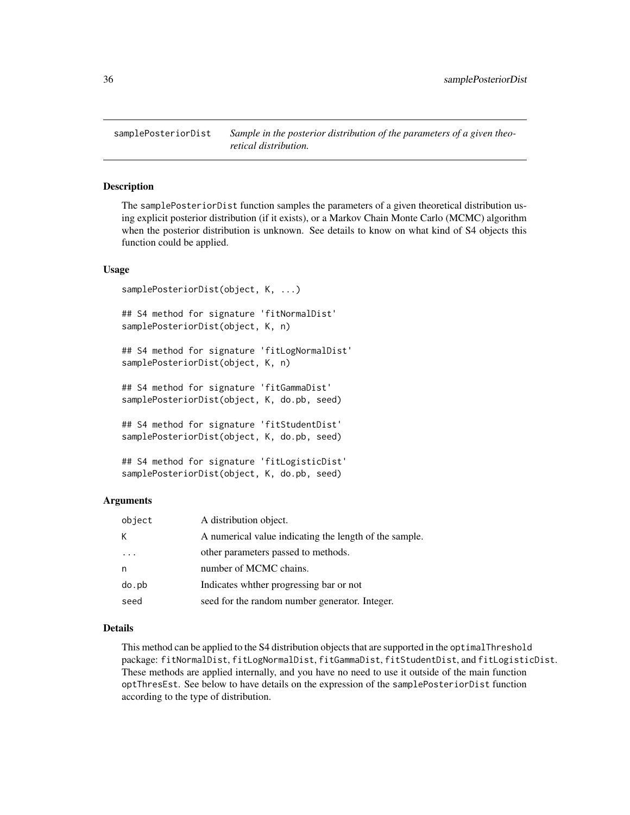<span id="page-35-0"></span>samplePosteriorDist *Sample in the posterior distribution of the parameters of a given theoretical distribution.*

## **Description**

The samplePosteriorDist function samples the parameters of a given theoretical distribution using explicit posterior distribution (if it exists), or a Markov Chain Monte Carlo (MCMC) algorithm when the posterior distribution is unknown. See details to know on what kind of S4 objects this function could be applied.

#### Usage

```
samplePosteriorDist(object, K, ...)
## S4 method for signature 'fitNormalDist'
samplePosteriorDist(object, K, n)
## S4 method for signature 'fitLogNormalDist'
samplePosteriorDist(object, K, n)
## S4 method for signature 'fitGammaDist'
samplePosteriorDist(object, K, do.pb, seed)
## S4 method for signature 'fitStudentDist'
samplePosteriorDist(object, K, do.pb, seed)
## S4 method for signature 'fitLogisticDist'
samplePosteriorDist(object, K, do.pb, seed)
```
#### Arguments

| object | A distribution object.                                 |
|--------|--------------------------------------------------------|
| К      | A numerical value indicating the length of the sample. |
|        | other parameters passed to methods.                    |
|        | number of MCMC chains.                                 |
| do.pb  | Indicates whther progressing bar or not                |
| seed   | seed for the random number generator. Integer.         |

## Details

This method can be applied to the S4 distribution objects that are supported in the optimalThreshold package: fitNormalDist, fitLogNormalDist, fitGammaDist, fitStudentDist, and fitLogisticDist. These methods are applied internally, and you have no need to use it outside of the main function optThresEst. See below to have details on the expression of the samplePosteriorDist function according to the type of distribution.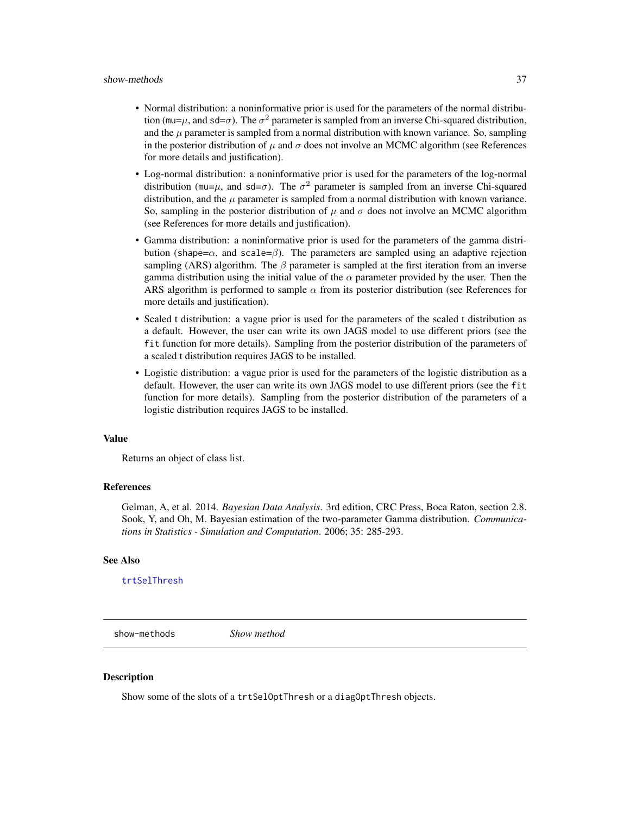#### <span id="page-36-0"></span>show-methods 37

- Normal distribution: a noninformative prior is used for the parameters of the normal distribution (mu= $\mu$ , and sd= $\sigma$ ). The  $\sigma^2$  parameter is sampled from an inverse Chi-squared distribution, and the  $\mu$  parameter is sampled from a normal distribution with known variance. So, sampling in the posterior distribution of  $\mu$  and  $\sigma$  does not involve an MCMC algorithm (see References for more details and justification).
- Log-normal distribution: a noninformative prior is used for the parameters of the log-normal distribution (mu= $\mu$ , and sd= $\sigma$ ). The  $\sigma^2$  parameter is sampled from an inverse Chi-squared distribution, and the  $\mu$  parameter is sampled from a normal distribution with known variance. So, sampling in the posterior distribution of  $\mu$  and  $\sigma$  does not involve an MCMC algorithm (see References for more details and justification).
- Gamma distribution: a noninformative prior is used for the parameters of the gamma distribution (shape= $\alpha$ , and scale= $\beta$ ). The parameters are sampled using an adaptive rejection sampling (ARS) algorithm. The  $\beta$  parameter is sampled at the first iteration from an inverse gamma distribution using the initial value of the  $\alpha$  parameter provided by the user. Then the ARS algorithm is performed to sample  $\alpha$  from its posterior distribution (see References for more details and justification).
- Scaled t distribution: a vague prior is used for the parameters of the scaled t distribution as a default. However, the user can write its own JAGS model to use different priors (see the fit function for more details). Sampling from the posterior distribution of the parameters of a scaled t distribution requires JAGS to be installed.
- Logistic distribution: a vague prior is used for the parameters of the logistic distribution as a default. However, the user can write its own JAGS model to use different priors (see the fit function for more details). Sampling from the posterior distribution of the parameters of a logistic distribution requires JAGS to be installed.

#### Value

Returns an object of class list.

#### References

Gelman, A, et al. 2014. *Bayesian Data Analysis*. 3rd edition, CRC Press, Boca Raton, section 2.8. Sook, Y, and Oh, M. Bayesian estimation of the two-parameter Gamma distribution. *Communications in Statistics - Simulation and Computation*. 2006; 35: 285-293.

#### See Also

[trtSelThresh](#page-41-1)

show-methods *Show method*

#### Description

Show some of the slots of a trtSelOptThresh or a diagOptThresh objects.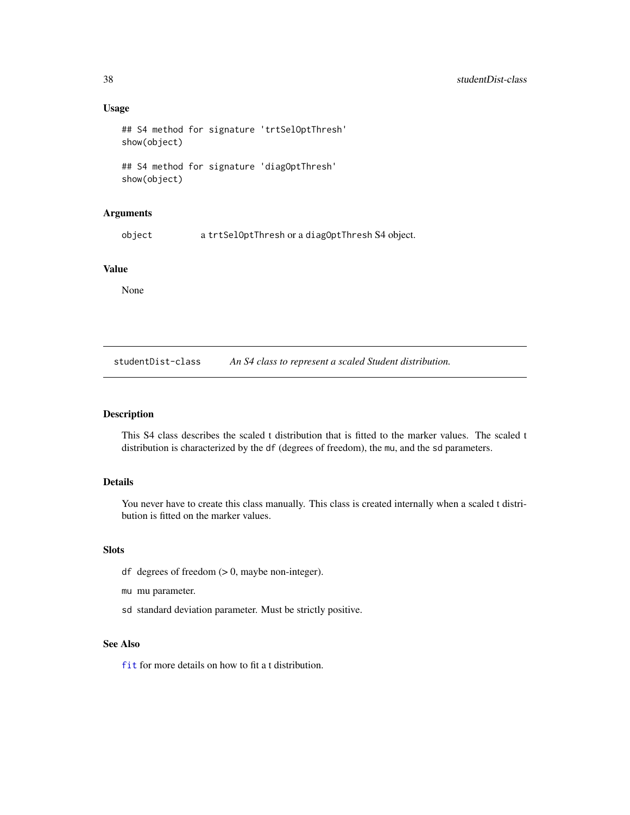#### Usage

```
## S4 method for signature 'trtSelOptThresh'
show(object)
## S4 method for signature 'diagOptThresh'
show(object)
```
#### Arguments

object a trtSelOptThresh or a diagOptThresh S4 object.

## Value

None

studentDist-class *An S4 class to represent a scaled Student distribution.*

## Description

This S4 class describes the scaled t distribution that is fitted to the marker values. The scaled t distribution is characterized by the df (degrees of freedom), the mu, and the sd parameters.

## Details

You never have to create this class manually. This class is created internally when a scaled t distribution is fitted on the marker values.

## Slots

- df degrees of freedom  $(> 0$ , maybe non-integer).
- mu mu parameter.
- sd standard deviation parameter. Must be strictly positive.

## See Also

[fit](#page-16-1) for more details on how to fit a t distribution.

<span id="page-37-0"></span>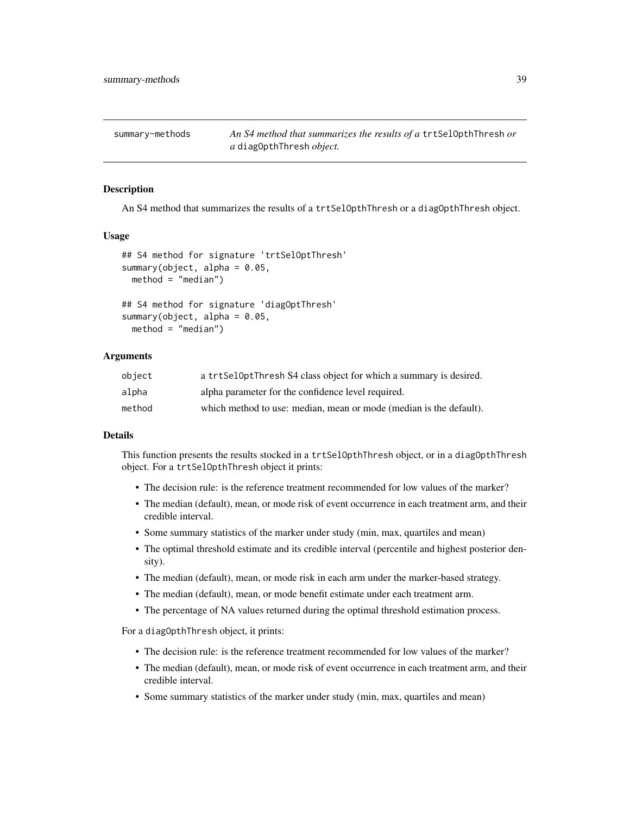<span id="page-38-0"></span>summary-methods *An S4 method that summarizes the results of a* trtSelOpthThresh *or a* diagOpthThresh *object.*

#### Description

An S4 method that summarizes the results of a trtSelOpthThresh or a diagOpthThresh object.

#### Usage

```
## S4 method for signature 'trtSelOptThresh'
summary(object, alpha = 0.05,
 method = "median")## S4 method for signature 'diagOptThresh'
summary(object, alpha = 0.05,
```

```
method = "median")
```
## Arguments

| obiect | a trtSelOptThresh S4 class object for which a summary is desired.  |
|--------|--------------------------------------------------------------------|
| alpha  | alpha parameter for the confidence level required.                 |
| method | which method to use: median, mean or mode (median is the default). |

#### Details

This function presents the results stocked in a trtSelOpthThresh object, or in a diagOpthThresh object. For a trtSelOpthThresh object it prints:

- The decision rule: is the reference treatment recommended for low values of the marker?
- The median (default), mean, or mode risk of event occurrence in each treatment arm, and their credible interval.
- Some summary statistics of the marker under study (min, max, quartiles and mean)
- The optimal threshold estimate and its credible interval (percentile and highest posterior density).
- The median (default), mean, or mode risk in each arm under the marker-based strategy.
- The median (default), mean, or mode benefit estimate under each treatment arm.
- The percentage of NA values returned during the optimal threshold estimation process.

For a diagOpthThresh object, it prints:

- The decision rule: is the reference treatment recommended for low values of the marker?
- The median (default), mean, or mode risk of event occurrence in each treatment arm, and their credible interval.
- Some summary statistics of the marker under study (min, max, quartiles and mean)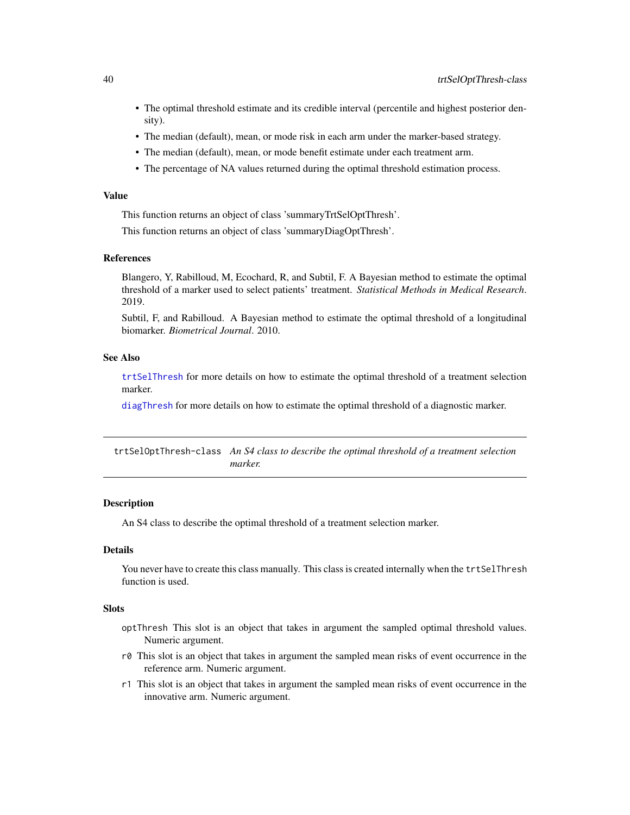- <span id="page-39-0"></span>• The optimal threshold estimate and its credible interval (percentile and highest posterior density).
- The median (default), mean, or mode risk in each arm under the marker-based strategy.
- The median (default), mean, or mode benefit estimate under each treatment arm.
- The percentage of NA values returned during the optimal threshold estimation process.

#### Value

This function returns an object of class 'summaryTrtSelOptThresh'.

This function returns an object of class 'summaryDiagOptThresh'.

#### References

Blangero, Y, Rabilloud, M, Ecochard, R, and Subtil, F. A Bayesian method to estimate the optimal threshold of a marker used to select patients' treatment. *Statistical Methods in Medical Research*. 2019.

Subtil, F, and Rabilloud. A Bayesian method to estimate the optimal threshold of a longitudinal biomarker. *Biometrical Journal*. 2010.

## See Also

[trtSelThresh](#page-41-1) for more details on how to estimate the optimal threshold of a treatment selection marker.

[diagThresh](#page-13-1) for more details on how to estimate the optimal threshold of a diagnostic marker.

trtSelOptThresh-class *An S4 class to describe the optimal threshold of a treatment selection marker.*

## **Description**

An S4 class to describe the optimal threshold of a treatment selection marker.

## Details

You never have to create this class manually. This class is created internally when the trtSelThresh function is used.

#### **Slots**

- optThresh This slot is an object that takes in argument the sampled optimal threshold values. Numeric argument.
- r0 This slot is an object that takes in argument the sampled mean risks of event occurrence in the reference arm. Numeric argument.
- r1 This slot is an object that takes in argument the sampled mean risks of event occurrence in the innovative arm. Numeric argument.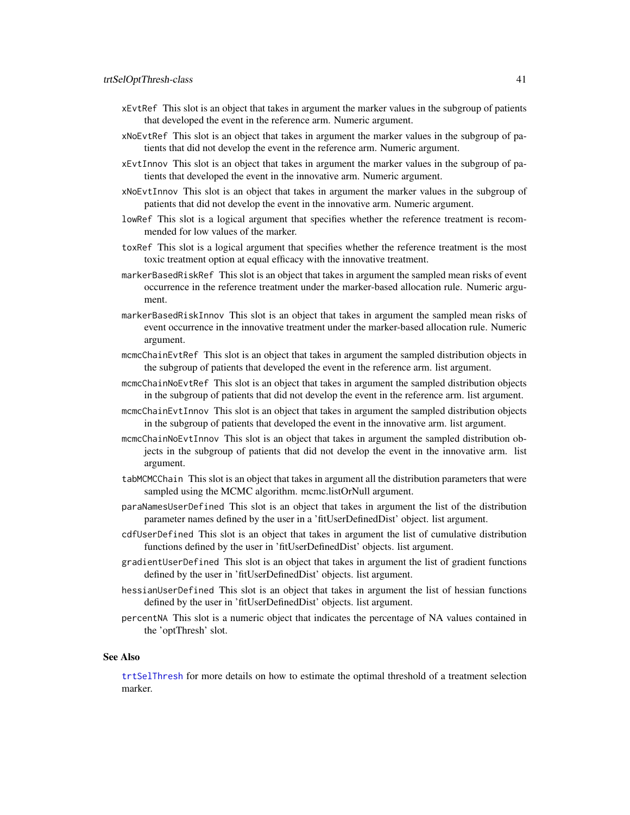- <span id="page-40-0"></span>xEvtRef This slot is an object that takes in argument the marker values in the subgroup of patients that developed the event in the reference arm. Numeric argument.
- xNoEvtRef This slot is an object that takes in argument the marker values in the subgroup of patients that did not develop the event in the reference arm. Numeric argument.
- xEvtInnov This slot is an object that takes in argument the marker values in the subgroup of patients that developed the event in the innovative arm. Numeric argument.
- xNoEvtInnov This slot is an object that takes in argument the marker values in the subgroup of patients that did not develop the event in the innovative arm. Numeric argument.
- lowRef This slot is a logical argument that specifies whether the reference treatment is recommended for low values of the marker.
- toxRef This slot is a logical argument that specifies whether the reference treatment is the most toxic treatment option at equal efficacy with the innovative treatment.
- markerBasedRiskRef This slot is an object that takes in argument the sampled mean risks of event occurrence in the reference treatment under the marker-based allocation rule. Numeric argument.
- markerBasedRiskInnov This slot is an object that takes in argument the sampled mean risks of event occurrence in the innovative treatment under the marker-based allocation rule. Numeric argument.
- mcmcChainEvtRef This slot is an object that takes in argument the sampled distribution objects in the subgroup of patients that developed the event in the reference arm. list argument.
- mcmcChainNoEvtRef This slot is an object that takes in argument the sampled distribution objects in the subgroup of patients that did not develop the event in the reference arm. list argument.
- mcmcChainEvtInnov This slot is an object that takes in argument the sampled distribution objects in the subgroup of patients that developed the event in the innovative arm. list argument.
- mcmcChainNoEvtInnov This slot is an object that takes in argument the sampled distribution objects in the subgroup of patients that did not develop the event in the innovative arm. list argument.
- tabMCMCChain This slot is an object that takes in argument all the distribution parameters that were sampled using the MCMC algorithm. mcmc.listOrNull argument.
- paraNamesUserDefined This slot is an object that takes in argument the list of the distribution parameter names defined by the user in a 'fitUserDefinedDist' object. list argument.
- cdfUserDefined This slot is an object that takes in argument the list of cumulative distribution functions defined by the user in 'fitUserDefinedDist' objects. list argument.
- gradientUserDefined This slot is an object that takes in argument the list of gradient functions defined by the user in 'fitUserDefinedDist' objects. list argument.
- hessianUserDefined This slot is an object that takes in argument the list of hessian functions defined by the user in 'fitUserDefinedDist' objects. list argument.
- percentNA This slot is a numeric object that indicates the percentage of NA values contained in the 'optThresh' slot.

#### See Also

[trtSelThresh](#page-41-1) for more details on how to estimate the optimal threshold of a treatment selection marker.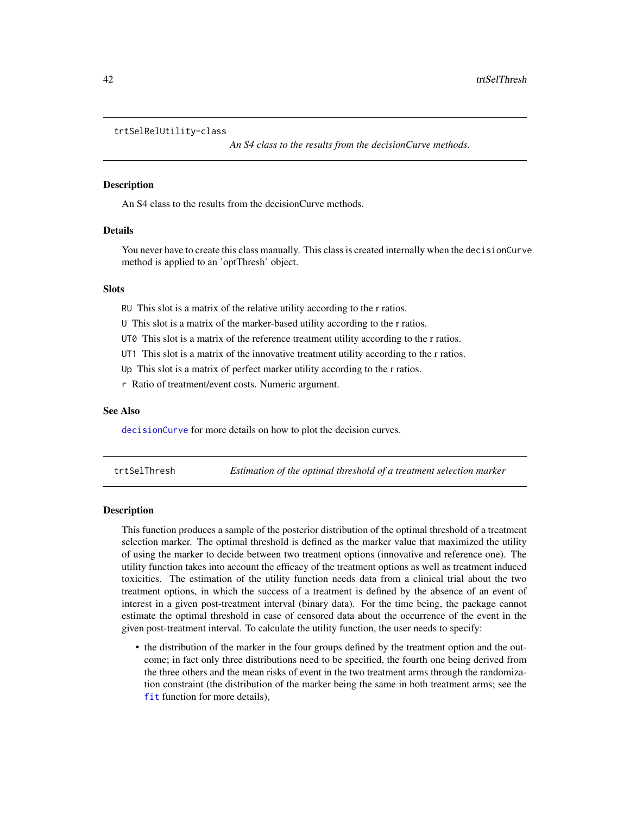#### <span id="page-41-0"></span>trtSelRelUtility-class

*An S4 class to the results from the decisionCurve methods.*

#### Description

An S4 class to the results from the decisionCurve methods.

#### Details

You never have to create this class manually. This class is created internally when the decisionCurve method is applied to an 'optThresh' object.

## **Slots**

RU This slot is a matrix of the relative utility according to the r ratios.

U This slot is a matrix of the marker-based utility according to the r ratios.

UT0 This slot is a matrix of the reference treatment utility according to the r ratios.

UT1 This slot is a matrix of the innovative treatment utility according to the r ratios.

Up This slot is a matrix of perfect marker utility according to the r ratios.

r Ratio of treatment/event costs. Numeric argument.

#### See Also

[decisionCurve](#page-9-1) for more details on how to plot the decision curves.

<span id="page-41-1"></span>trtSelThresh *Estimation of the optimal threshold of a treatment selection marker*

#### **Description**

This function produces a sample of the posterior distribution of the optimal threshold of a treatment selection marker. The optimal threshold is defined as the marker value that maximized the utility of using the marker to decide between two treatment options (innovative and reference one). The utility function takes into account the efficacy of the treatment options as well as treatment induced toxicities. The estimation of the utility function needs data from a clinical trial about the two treatment options, in which the success of a treatment is defined by the absence of an event of interest in a given post-treatment interval (binary data). For the time being, the package cannot estimate the optimal threshold in case of censored data about the occurrence of the event in the given post-treatment interval. To calculate the utility function, the user needs to specify:

• the distribution of the marker in the four groups defined by the treatment option and the outcome; in fact only three distributions need to be specified, the fourth one being derived from the three others and the mean risks of event in the two treatment arms through the randomization constraint (the distribution of the marker being the same in both treatment arms; see the [fit](#page-16-1) function for more details),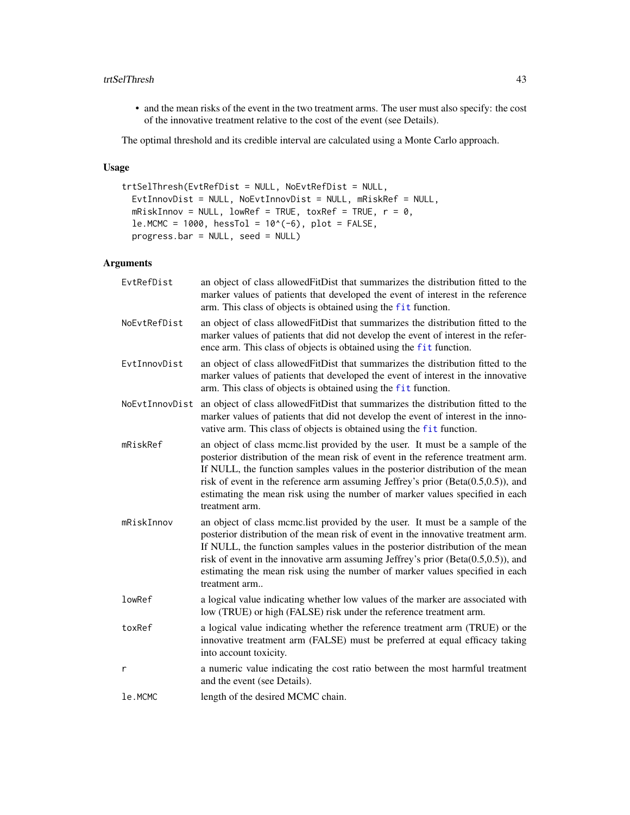#### <span id="page-42-0"></span>trtSelThresh 43

• and the mean risks of the event in the two treatment arms. The user must also specify: the cost of the innovative treatment relative to the cost of the event (see Details).

The optimal threshold and its credible interval are calculated using a Monte Carlo approach.

## Usage

```
trtSelThresh(EvtRefDist = NULL, NoEvtRefDist = NULL,
 EvtInnovDist = NULL, NoEvtInnovDist = NULL, mRiskRef = NULL,
 mRiskInnov = NULL, lowRef = TRUE, toxRef = TRUE, r = 0,
 le.MCMC = 1000, hesTol = 10^(-6), plot = FALSE,
 progress.bar = NULL, seed = NULL)
```

| EvtRefDist     | an object of class allowed FitDist that summarizes the distribution fitted to the<br>marker values of patients that developed the event of interest in the reference<br>arm. This class of objects is obtained using the fit function.                                                                                                                                                                                                       |
|----------------|----------------------------------------------------------------------------------------------------------------------------------------------------------------------------------------------------------------------------------------------------------------------------------------------------------------------------------------------------------------------------------------------------------------------------------------------|
| NoEvtRefDist   | an object of class allowed FitDist that summarizes the distribution fitted to the<br>marker values of patients that did not develop the event of interest in the refer-<br>ence arm. This class of objects is obtained using the fit function.                                                                                                                                                                                               |
| EvtInnovDist   | an object of class allowed FitDist that summarizes the distribution fitted to the<br>marker values of patients that developed the event of interest in the innovative<br>arm. This class of objects is obtained using the fit function.                                                                                                                                                                                                      |
| NoEvtInnovDist | an object of class allowed FitDist that summarizes the distribution fitted to the<br>marker values of patients that did not develop the event of interest in the inno-<br>vative arm. This class of objects is obtained using the fit function.                                                                                                                                                                                              |
| mRiskRef       | an object of class mcmc.list provided by the user. It must be a sample of the<br>posterior distribution of the mean risk of event in the reference treatment arm.<br>If NULL, the function samples values in the posterior distribution of the mean<br>risk of event in the reference arm assuming Jeffrey's prior $(Beta(0.5,0.5))$ , and<br>estimating the mean risk using the number of marker values specified in each<br>treatment arm. |
| mRiskInnov     | an object of class mcmc. list provided by the user. It must be a sample of the<br>posterior distribution of the mean risk of event in the innovative treatment arm.<br>If NULL, the function samples values in the posterior distribution of the mean<br>risk of event in the innovative arm assuming Jeffrey's prior (Beta(0.5,0.5)), and<br>estimating the mean risk using the number of marker values specified in each<br>treatment arm  |
| lowRef         | a logical value indicating whether low values of the marker are associated with<br>low (TRUE) or high (FALSE) risk under the reference treatment arm.                                                                                                                                                                                                                                                                                        |
| toxRef         | a logical value indicating whether the reference treatment arm (TRUE) or the<br>innovative treatment arm (FALSE) must be preferred at equal efficacy taking<br>into account toxicity.                                                                                                                                                                                                                                                        |
| r              | a numeric value indicating the cost ratio between the most harmful treatment<br>and the event (see Details).                                                                                                                                                                                                                                                                                                                                 |
| le.MCMC        | length of the desired MCMC chain.                                                                                                                                                                                                                                                                                                                                                                                                            |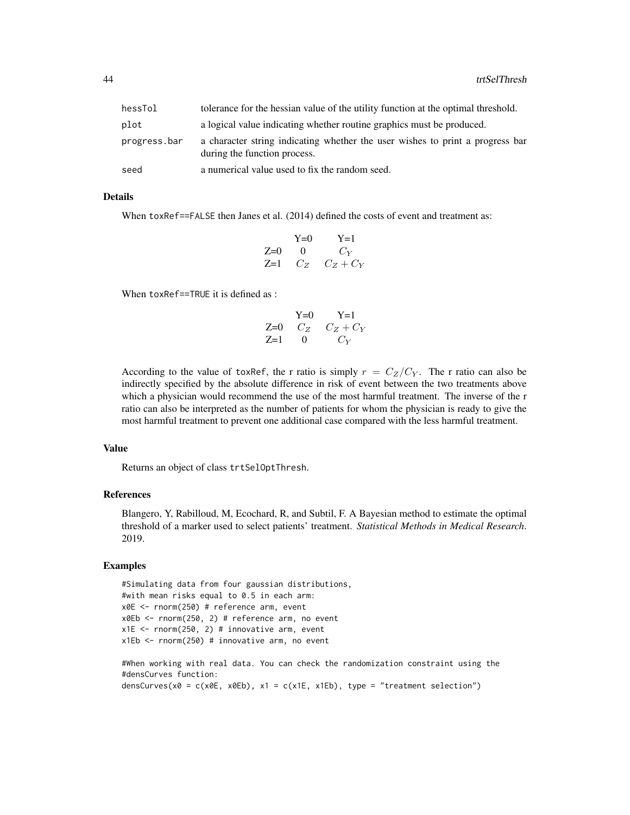| hessTol      | tolerance for the hessian value of the utility function at the optimal threshold.                             |
|--------------|---------------------------------------------------------------------------------------------------------------|
| plot         | a logical value indicating whether routine graphics must be produced.                                         |
| progress.bar | a character string indicating whether the user wishes to print a progress bar<br>during the function process. |
| seed         | a numerical value used to fix the random seed.                                                                |

#### Details

When toxRef==FALSE then Janes et al. (2014) defined the costs of event and treatment as:

$$
Y=0 \t Y=1Z=0 \t 0 \t CYZ=1 \t CZ \t CZ + CY
$$

When toxRef==TRUE it is defined as :

$$
\begin{array}{ccc}\n & Y=0 & Y=1 \\
Z=0 & C_Z & C_Z + C_Y \\
Z=1 & 0 & C_Y\n\end{array}
$$

According to the value of toxRef, the r ratio is simply  $r = C_Z/C_Y$ . The r ratio can also be indirectly specified by the absolute difference in risk of event between the two treatments above which a physician would recommend the use of the most harmful treatment. The inverse of the r ratio can also be interpreted as the number of patients for whom the physician is ready to give the most harmful treatment to prevent one additional case compared with the less harmful treatment.

#### Value

Returns an object of class trtSelOptThresh.

#### References

Blangero, Y, Rabilloud, M, Ecochard, R, and Subtil, F. A Bayesian method to estimate the optimal threshold of a marker used to select patients' treatment. *Statistical Methods in Medical Research*. 2019.

## Examples

```
#Simulating data from four gaussian distributions,
#with mean risks equal to 0.5 in each arm:
x0E <- rnorm(250) # reference arm, event
x0Eb <- rnorm(250, 2) # reference arm, no event
x1E \le - rnorm(250, 2) # innovative arm, event
x1Eb <- rnorm(250) # innovative arm, no event
```
#When working with real data. You can check the randomization constraint using the #densCurves function: densCurves( $x0 = c(x0E, x0Eb)$ ,  $x1 = c(x1E, x1Eb)$ , type = "treatment selection")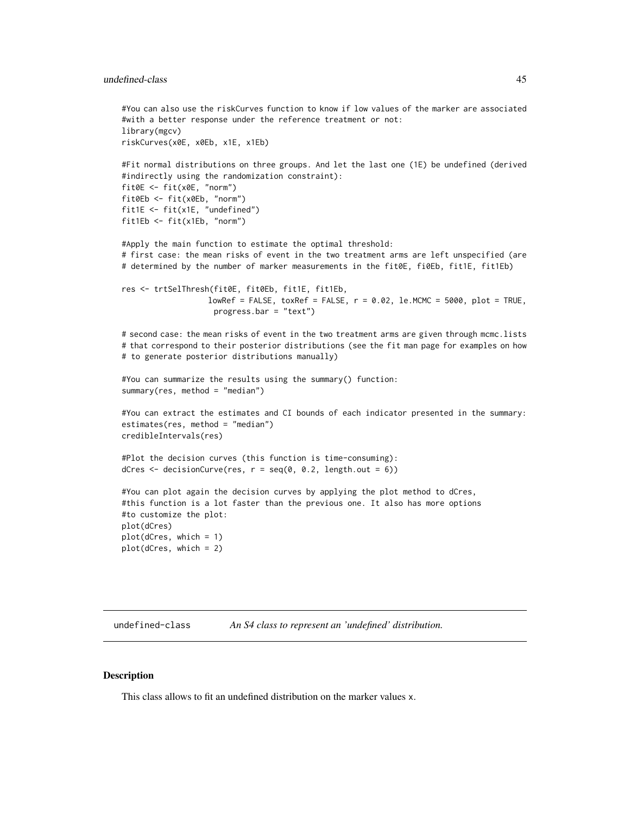<span id="page-44-0"></span>undefined-class 45

#You can also use the riskCurves function to know if low values of the marker are associated #with a better response under the reference treatment or not: library(mgcv) riskCurves(x0E, x0Eb, x1E, x1Eb)

```
#Fit normal distributions on three groups. And let the last one (1E) be undefined (derived
#indirectly using the randomization constraint):
fit0E <- fit(x0E, "norm")
fit0Eb <- fit(x0Eb, "norm")
fit1E <- fit(x1E, "undefined")
fit1Eb <- fit(x1Eb, "norm")
```
#Apply the main function to estimate the optimal threshold: # first case: the mean risks of event in the two treatment arms are left unspecified (are # determined by the number of marker measurements in the fit0E, fi0Eb, fit1E, fit1Eb)

```
res <- trtSelThresh(fit0E, fit0Eb, fit1E, fit1Eb,
                  lowRef = FALSE, toxRef = FALSE, r = 0.02, le.MCMC = 5000, plot = TRUE,progress.bar = "text")
```
# second case: the mean risks of event in the two treatment arms are given through mcmc.lists # that correspond to their posterior distributions (see the fit man page for examples on how # to generate posterior distributions manually)

```
#You can summarize the results using the summary() function:
summary(res, method = "median")
```
#You can extract the estimates and CI bounds of each indicator presented in the summary: estimates(res, method = "median") credibleIntervals(res)

```
#Plot the decision curves (this function is time-consuming):
dCres \leq decisionCurve(res, r = \text{seq}(0, 0.2, \text{length.out} = 6))
```
#You can plot again the decision curves by applying the plot method to dCres, #this function is a lot faster than the previous one. It also has more options #to customize the plot: plot(dCres) plot(dCres, which = 1) plot(dCres, which = 2)

undefined-class *An S4 class to represent an 'undefined' distribution.*

#### **Description**

This class allows to fit an undefined distribution on the marker values x.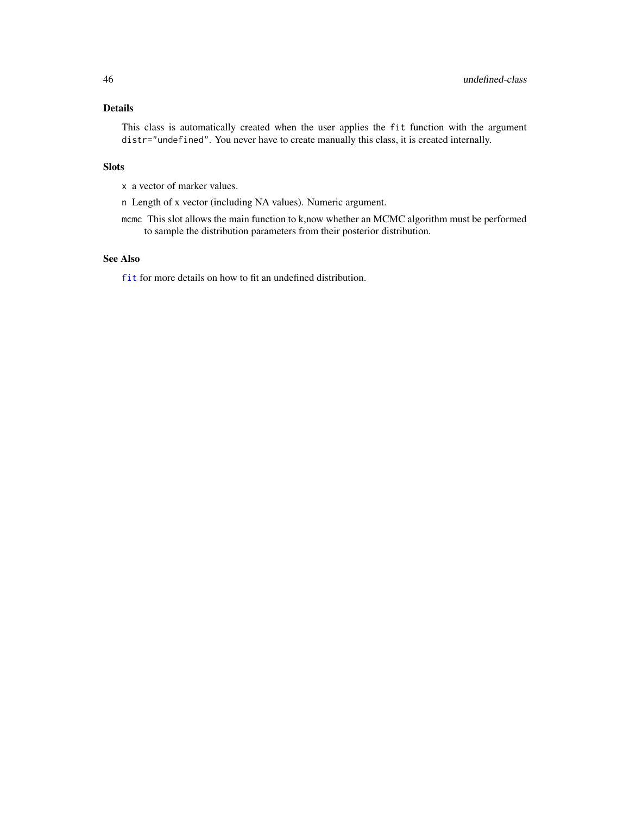## <span id="page-45-0"></span>Details

This class is automatically created when the user applies the fit function with the argument distr="undefined". You never have to create manually this class, it is created internally.

## Slots

x a vector of marker values.

n Length of x vector (including NA values). Numeric argument.

mcmc This slot allows the main function to k,now whether an MCMC algorithm must be performed to sample the distribution parameters from their posterior distribution.

## See Also

[fit](#page-16-1) for more details on how to fit an undefined distribution.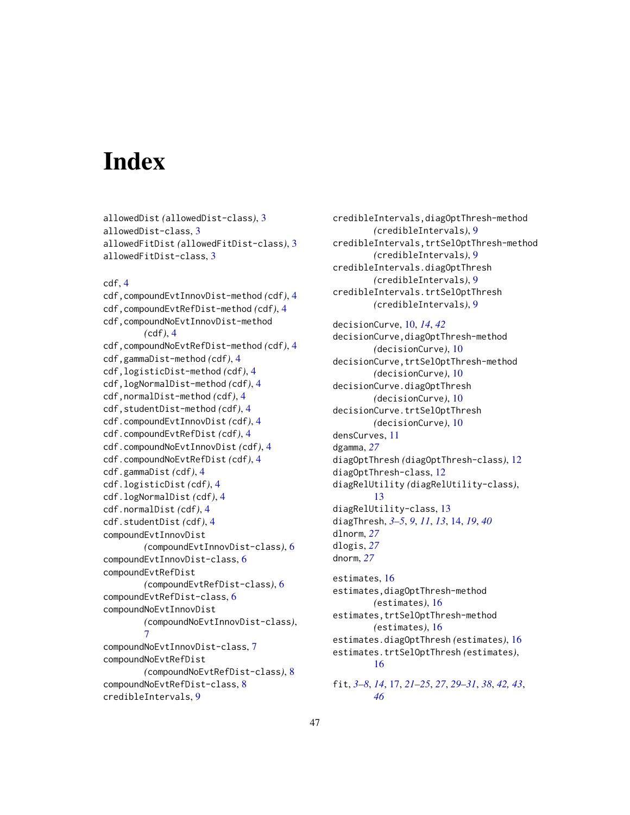# <span id="page-46-0"></span>**Index**

```
allowedDist (allowedDist-class), 3
allowedDist-class, 3
allowedFitDist (allowedFitDist-class), 3
allowedFitDist-class, 3
```
## cdf, [4](#page-3-0)

```
cdf,compoundEvtInnovDist-method (cdf), 4
cdf,compoundEvtRefDist-method (cdf), 4
cdf,compoundNoEvtInnovDist-method
        (cdf), 4
cdf,compoundNoEvtRefDist-method (cdf), 4
cdf,gammaDist-method (cdf), 4
cdf,logisticDist-method (cdf), 4
cdf,logNormalDist-method (cdf), 4
cdf,normalDist-method (cdf), 4
cdf,studentDist-method (cdf), 4
cdf.compoundEvtInnovDist (cdf), 4
cdf.compoundEvtRefDist (cdf), 4
cdf.compoundNoEvtInnovDist (cdf), 4
cdf.compoundNoEvtRefDist (cdf), 4
cdf.gammaDist (cdf), 4
cdf.logisticDist (cdf), 4
cdf.logNormalDist (cdf), 4
cdf.normalDist (cdf), 4
cdf.studentDist (cdf), 4
compoundEvtInnovDist
        (compoundEvtInnovDist-class), 6
compoundEvtInnovDist-class, 6
compoundEvtRefDist
        (compoundEvtRefDist-class), 6
compoundEvtRefDist-class, 6
compoundNoEvtInnovDist
        (compoundNoEvtInnovDist-class),
        7
compoundNoEvtInnovDist-class, 7
compoundNoEvtRefDist
        (compoundNoEvtRefDist-class), 8
compoundNoEvtRefDist-class, 8
credibleIntervals, 9
```
credibleIntervals,diagOptThresh-method *(*credibleIntervals*)*, [9](#page-8-0) credibleIntervals,trtSelOptThresh-method *(*credibleIntervals*)*, [9](#page-8-0) credibleIntervals.diagOptThresh *(*credibleIntervals*)*, [9](#page-8-0) credibleIntervals.trtSelOptThresh *(*credibleIntervals*)*, [9](#page-8-0)

decisionCurve, [10,](#page-9-0) *[14](#page-13-0)*, *[42](#page-41-0)* decisionCurve,diagOptThresh-method *(*decisionCurve*)*, [10](#page-9-0) decisionCurve,trtSelOptThresh-method *(*decisionCurve*)*, [10](#page-9-0) decisionCurve.diagOptThresh *(*decisionCurve*)*, [10](#page-9-0) decisionCurve.trtSelOptThresh *(*decisionCurve*)*, [10](#page-9-0) densCurves, [11](#page-10-0) dgamma, *[27](#page-26-0)* diagOptThresh *(*diagOptThresh-class*)*, [12](#page-11-0) diagOptThresh-class, [12](#page-11-0) diagRelUtility *(*diagRelUtility-class*)*, [13](#page-12-0) diagRelUtility-class, [13](#page-12-0) diagThresh, *[3](#page-2-0)[–5](#page-4-0)*, *[9](#page-8-0)*, *[11](#page-10-0)*, *[13](#page-12-0)*, [14,](#page-13-0) *[19](#page-18-0)*, *[40](#page-39-0)* dlnorm, *[27](#page-26-0)* dlogis, *[27](#page-26-0)* dnorm, *[27](#page-26-0)*

estimates, [16](#page-15-0) estimates,diagOptThresh-method *(*estimates*)*, [16](#page-15-0) estimates,trtSelOptThresh-method *(*estimates*)*, [16](#page-15-0) estimates.diagOptThresh *(*estimates*)*, [16](#page-15-0) estimates.trtSelOptThresh *(*estimates*)*, [16](#page-15-0)

fit, *[3–](#page-2-0)[8](#page-7-0)*, *[14](#page-13-0)*, [17,](#page-16-0) *[21](#page-20-0)[–25](#page-24-0)*, *[27](#page-26-0)*, *[29](#page-28-0)[–31](#page-30-0)*, *[38](#page-37-0)*, *[42,](#page-41-0) [43](#page-42-0)*, *[46](#page-45-0)*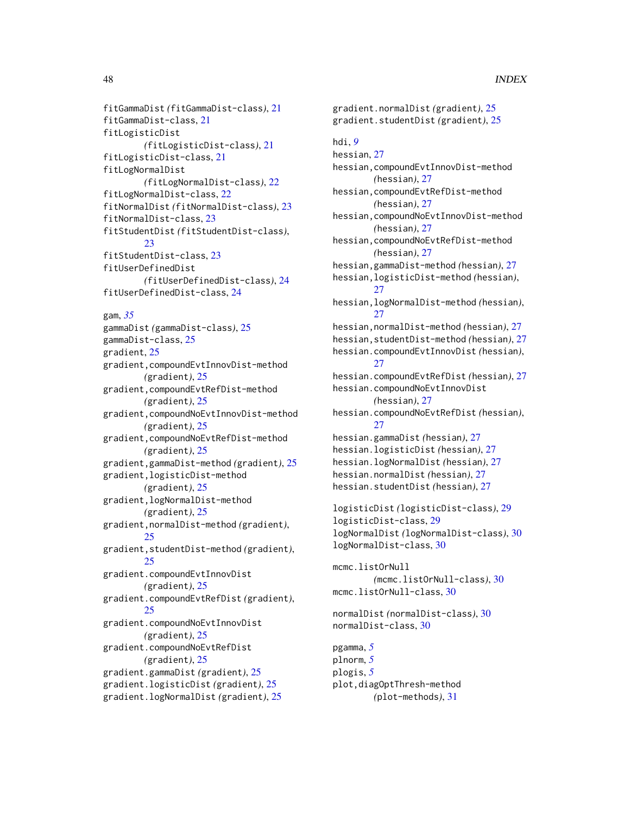```
fitGammaDist (fitGammaDist-class), 21
fitGammaDist-class, 21
fitLogisticDist
        (fitLogisticDist-class), 21
fitLogisticDist-class, 21
fitLogNormalDist
        (fitLogNormalDist-class), 22
fitLogNormalDist-class, 22
fitNormalDist (fitNormalDist-class), 23
fitNormalDist-class, 23
fitStudentDist (fitStudentDist-class),
        23
fitStudentDist-class, 23
fitUserDefinedDist
        (fitUserDefinedDist-class), 24
fitUserDefinedDist-class, 24
gam, 35
gammaDist (gammaDist-class), 25
gammaDist-class, 25
gradient, 25
gradient,compoundEvtInnovDist-method
        (gradient), 25
gradient,compoundEvtRefDist-method
        (gradient), 25
gradient,compoundNoEvtInnovDist-method
        (gradient), 25
gradient,compoundNoEvtRefDist-method
        (gradient), 25
gradient,gammaDist-method (gradient), 25
gradient,logisticDist-method
        (gradient), 25
gradient,logNormalDist-method
        (gradient), 25
gradient,normalDist-method (gradient),
        25
gradient,studentDist-method (gradient),
        25
gradient.compoundEvtInnovDist
        (gradient), 25
gradient.compoundEvtRefDist (gradient),
        25
gradient.compoundNoEvtInnovDist
        (gradient), 25
gradient.compoundNoEvtRefDist
        (gradient), 25
gradient.gammaDist (gradient), 25
gradient.logisticDist (gradient), 25
gradient.logNormalDist (gradient), 25
```
gradient.normalDist *(*gradient*)*, [25](#page-24-0) gradient.studentDist *(*gradient*)*, [25](#page-24-0) hdi, *[9](#page-8-0)* hessian, [27](#page-26-0) hessian,compoundEvtInnovDist-method *(*hessian*)*, [27](#page-26-0) hessian,compoundEvtRefDist-method *(*hessian*)*, [27](#page-26-0) hessian,compoundNoEvtInnovDist-method *(*hessian*)*, [27](#page-26-0) hessian,compoundNoEvtRefDist-method *(*hessian*)*, [27](#page-26-0) hessian,gammaDist-method *(*hessian*)*, [27](#page-26-0) hessian,logisticDist-method *(*hessian*)*, [27](#page-26-0) hessian,logNormalDist-method *(*hessian*)*, [27](#page-26-0) hessian,normalDist-method *(*hessian*)*, [27](#page-26-0) hessian,studentDist-method *(*hessian*)*, [27](#page-26-0) hessian.compoundEvtInnovDist *(*hessian*)*, [27](#page-26-0) hessian.compoundEvtRefDist *(*hessian*)*, [27](#page-26-0) hessian.compoundNoEvtInnovDist *(*hessian*)*, [27](#page-26-0) hessian.compoundNoEvtRefDist *(*hessian*)*, [27](#page-26-0) hessian.gammaDist *(*hessian*)*, [27](#page-26-0) hessian.logisticDist *(*hessian*)*, [27](#page-26-0) hessian.logNormalDist *(*hessian*)*, [27](#page-26-0) hessian.normalDist *(*hessian*)*, [27](#page-26-0) hessian.studentDist *(*hessian*)*, [27](#page-26-0) logisticDist *(*logisticDist-class*)*, [29](#page-28-0) logisticDist-class, [29](#page-28-0) logNormalDist *(*logNormalDist-class*)*, [30](#page-29-0) logNormalDist-class, [30](#page-29-0) mcmc.listOrNull *(*mcmc.listOrNull-class*)*, [30](#page-29-0) mcmc.listOrNull-class, [30](#page-29-0) normalDist *(*normalDist-class*)*, [30](#page-29-0) normalDist-class, [30](#page-29-0) pgamma, *[5](#page-4-0)* plnorm, *[5](#page-4-0)* plogis, *[5](#page-4-0)* plot,diagOptThresh-method *(*plot-methods*)*, [31](#page-30-0)